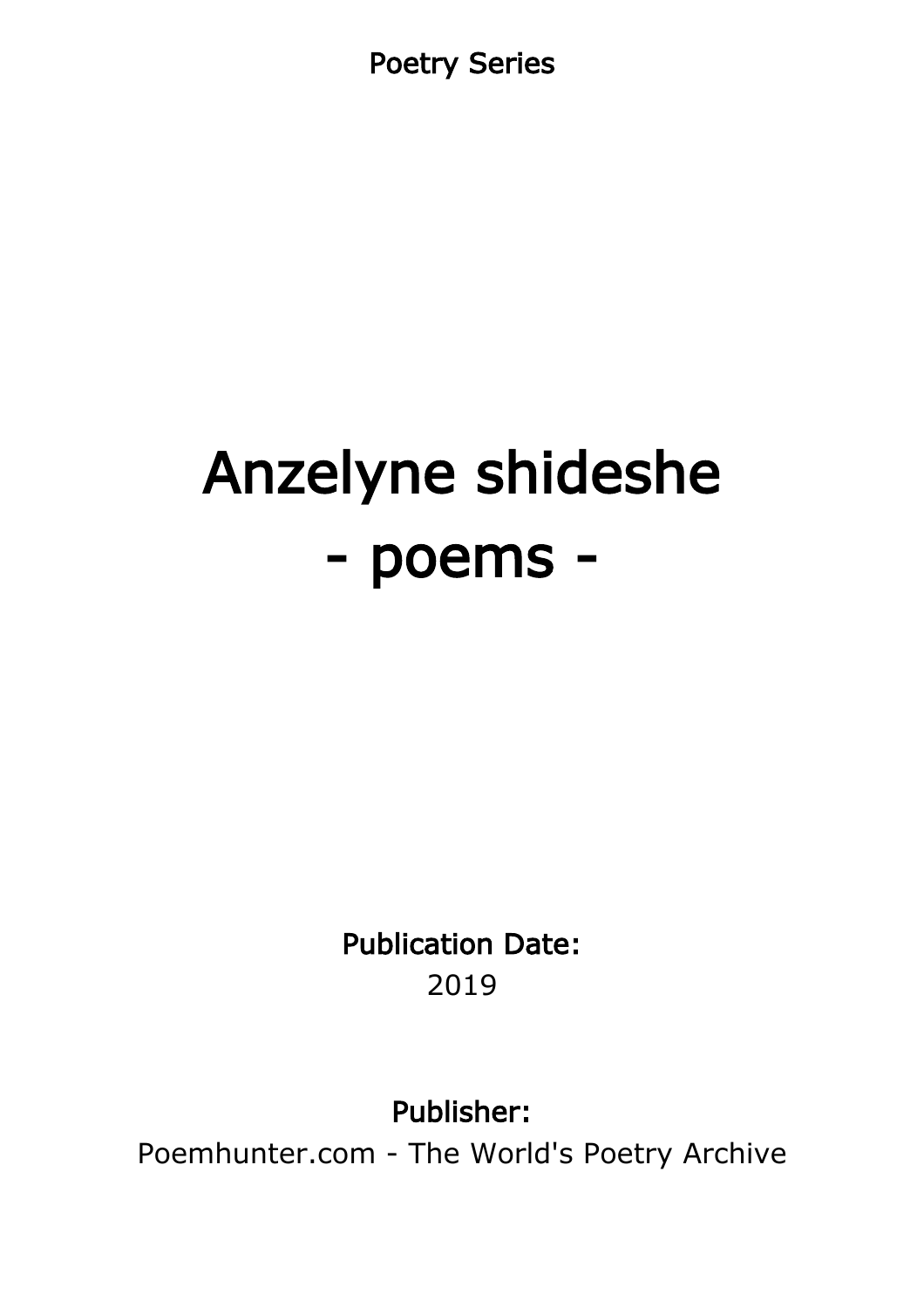Poetry Series

# Anzelyne shideshe - poems -

Publication Date: 2019

Publisher:

Poemhunter.com - The World's Poetry Archive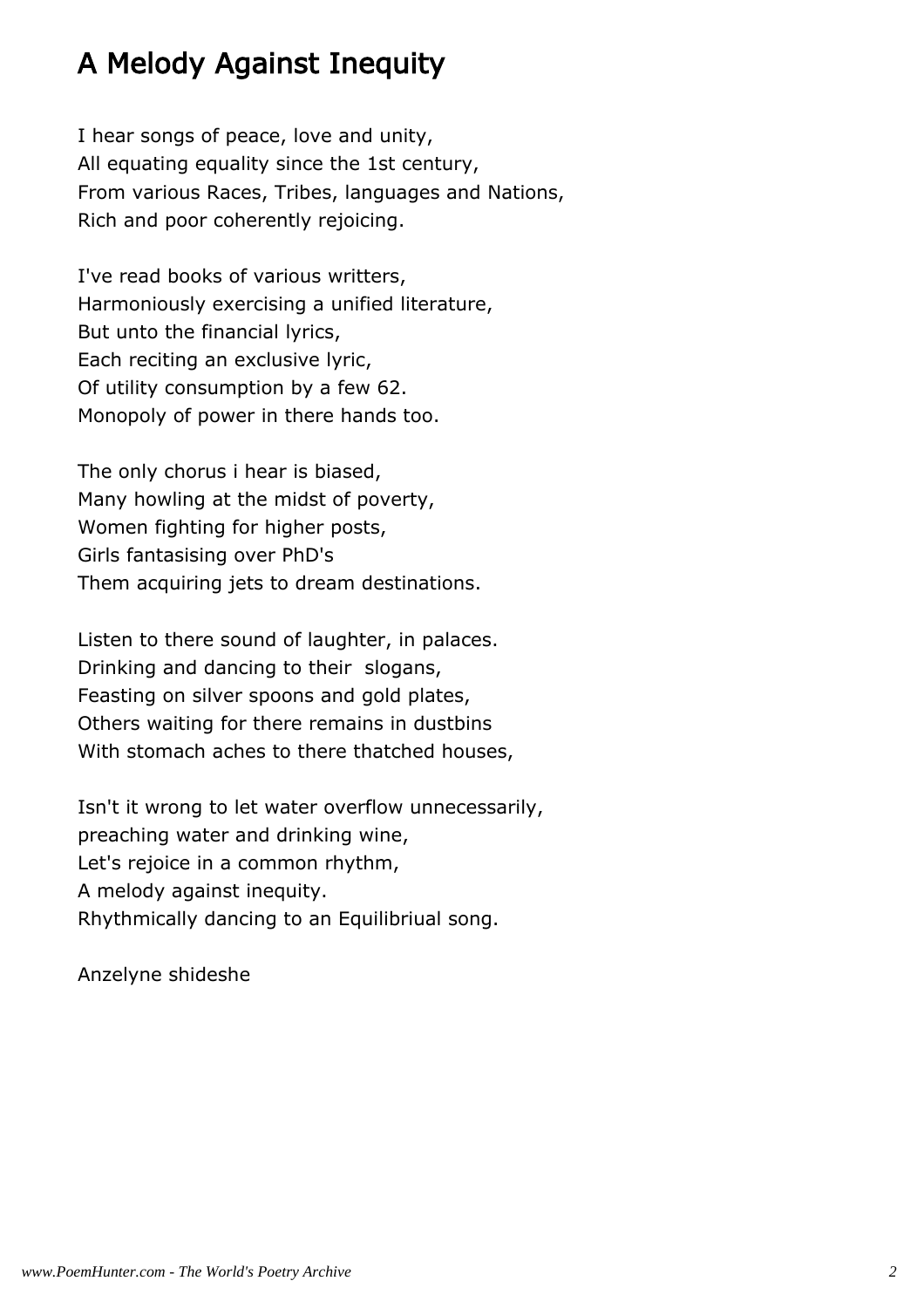#### A Melody Against Inequity

I hear songs of peace, love and unity, All equating equality since the 1st century, From various Races, Tribes, languages and Nations, Rich and poor coherently rejoicing.

I've read books of various writters, Harmoniously exercising a unified literature, But unto the financial lyrics, Each reciting an exclusive lyric, Of utility consumption by a few 62. Monopoly of power in there hands too.

The only chorus i hear is biased, Many howling at the midst of poverty, Women fighting for higher posts, Girls fantasising over PhD's Them acquiring jets to dream destinations.

Listen to there sound of laughter, in palaces. Drinking and dancing to their slogans, Feasting on silver spoons and gold plates, Others waiting for there remains in dustbins With stomach aches to there thatched houses,

Isn't it wrong to let water overflow unnecessarily, preaching water and drinking wine, Let's rejoice in a common rhythm, A melody against inequity. Rhythmically dancing to an Equilibriual song.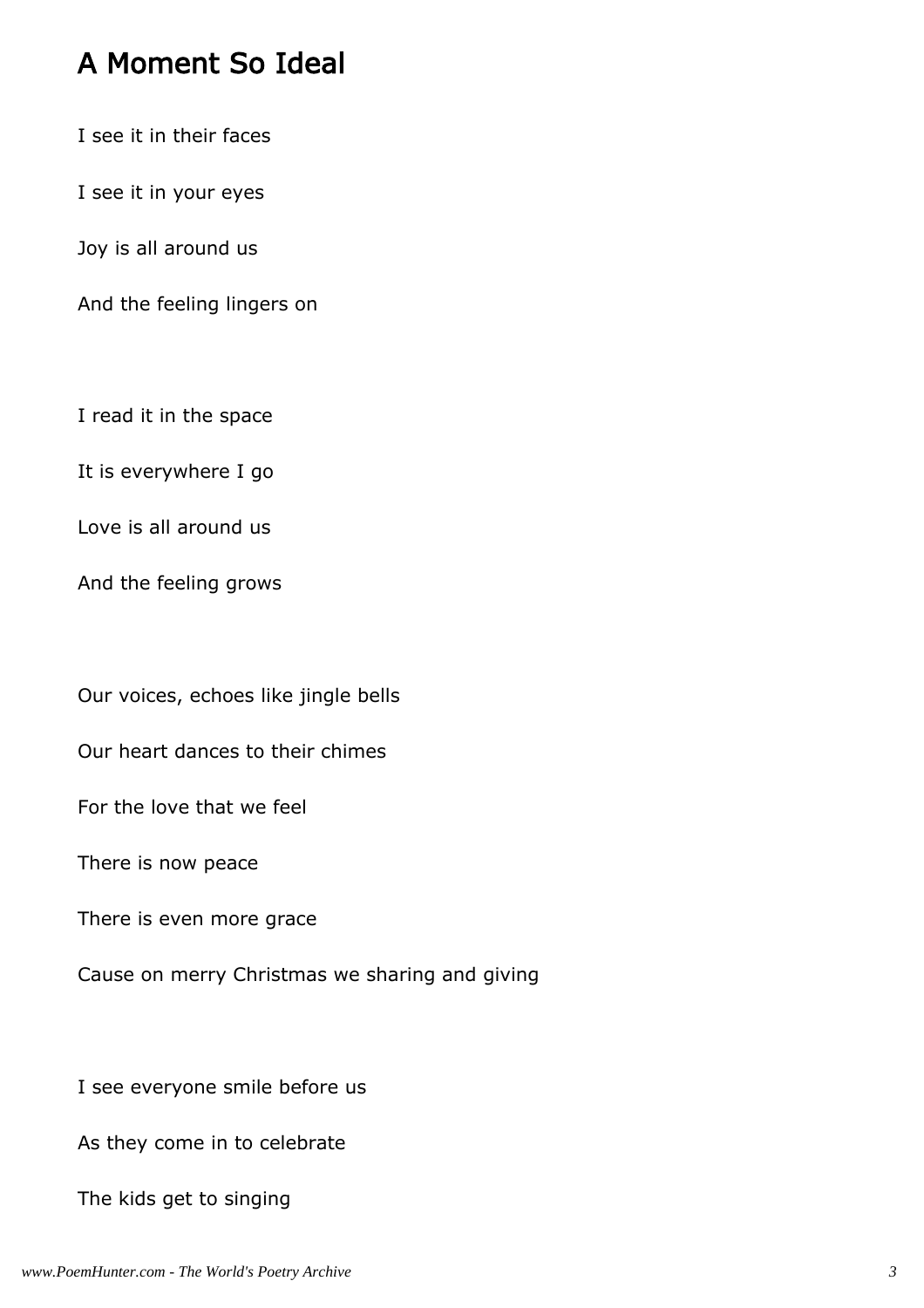#### A Moment So Ideal

I see it in their faces

I see it in your eyes

Joy is all around us

And the feeling lingers on

I read it in the space

It is everywhere I go

Love is all around us

And the feeling grows

Our voices, echoes like jingle bells

Our heart dances to their chimes

For the love that we feel

There is now peace

There is even more grace

Cause on merry Christmas we sharing and giving

I see everyone smile before us

As they come in to celebrate

The kids get to singing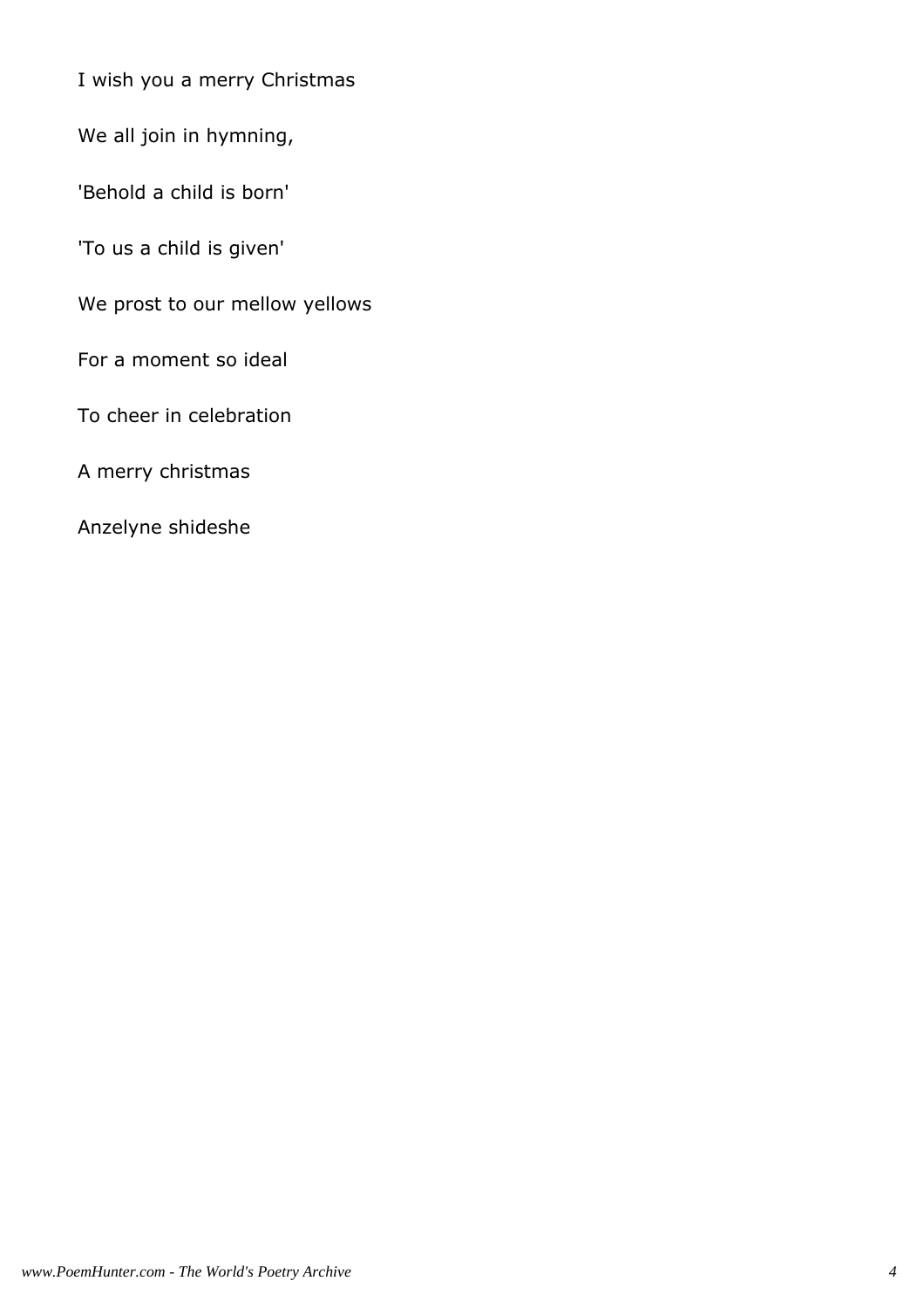I wish you a merry Christmas

We all join in hymning,

'Behold a child is born'

'To us a child is given'

We prost to our mellow yellows

For a moment so ideal

To cheer in celebration

A merry christmas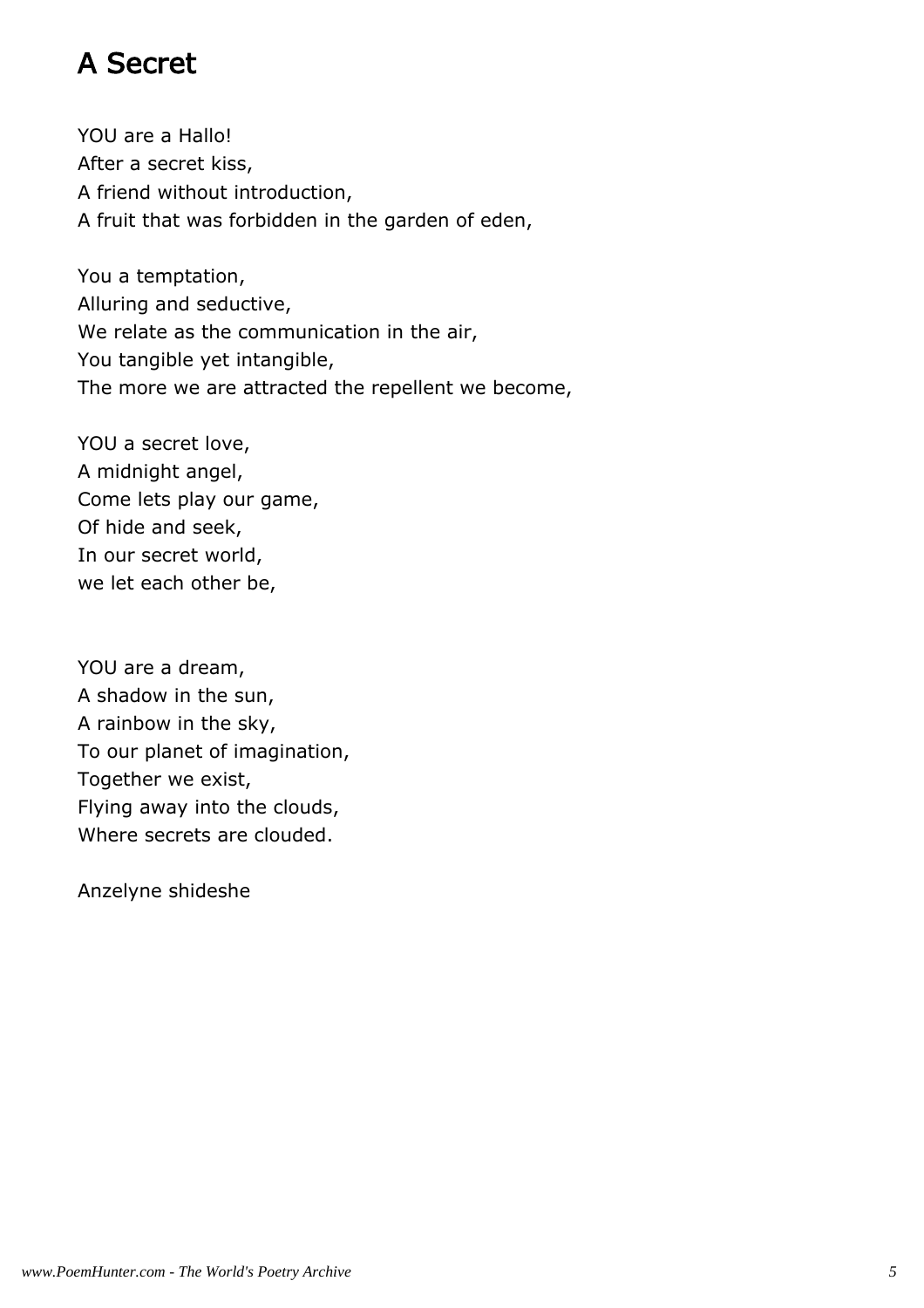# A Secret

YOU are a Hallo! After a secret kiss, A friend without introduction, A fruit that was forbidden in the garden of eden,

You a temptation, Alluring and seductive, We relate as the communication in the air, You tangible yet intangible, The more we are attracted the repellent we become,

YOU a secret love, A midnight angel, Come lets play our game, Of hide and seek, In our secret world, we let each other be,

YOU are a dream, A shadow in the sun, A rainbow in the sky, To our planet of imagination, Together we exist, Flying away into the clouds, Where secrets are clouded.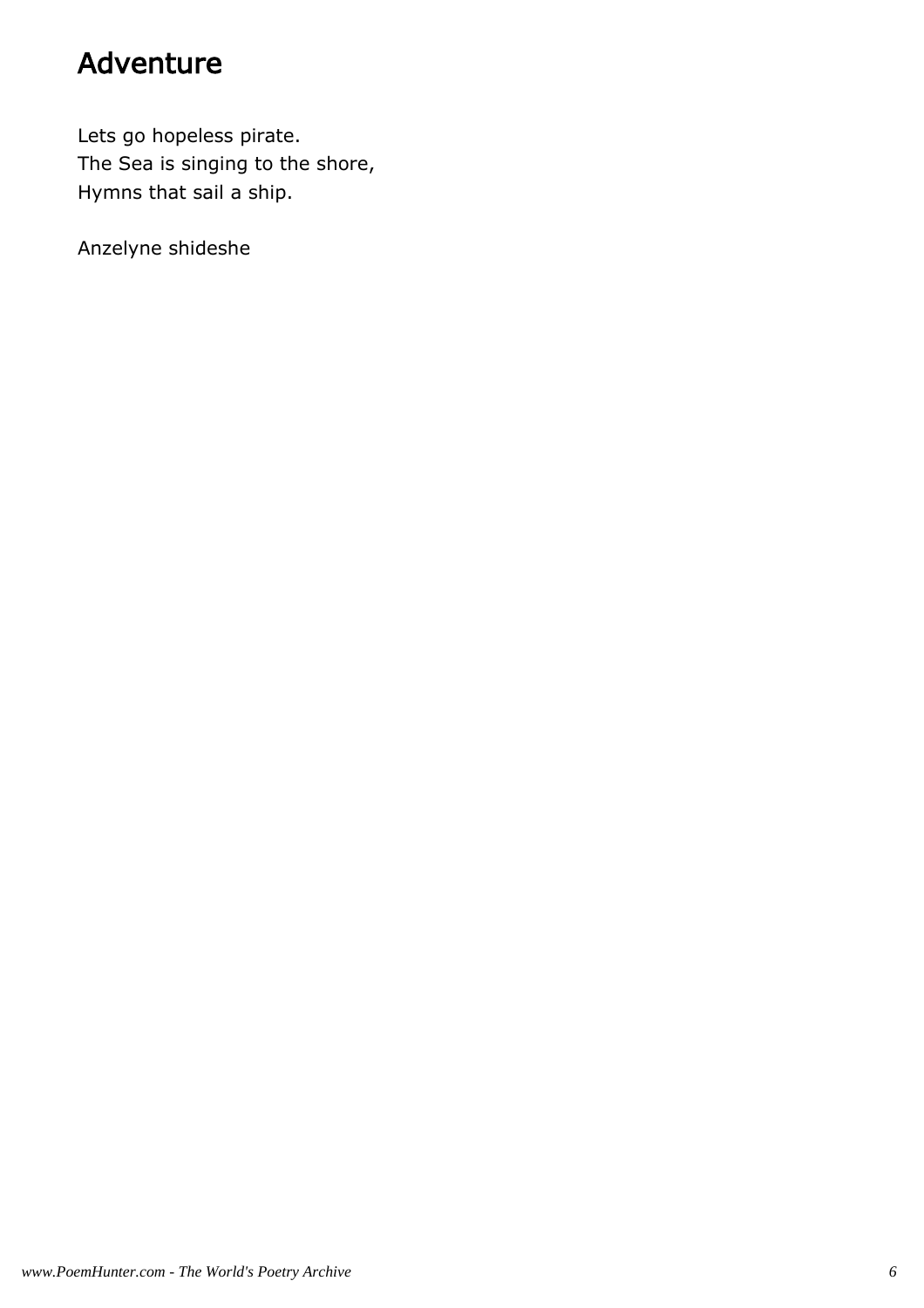#### Adventure

Lets go hopeless pirate. The Sea is singing to the shore, Hymns that sail a ship.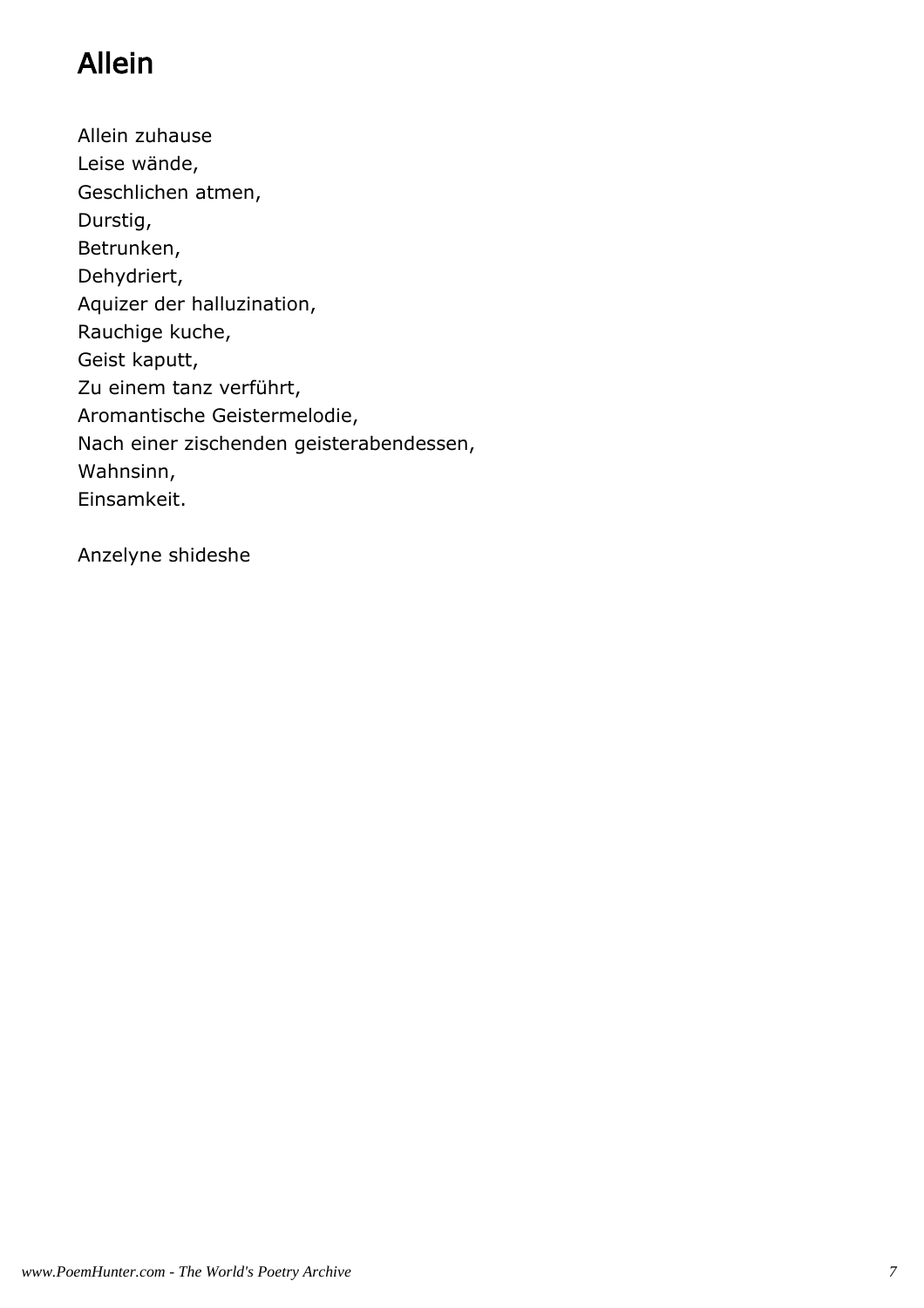# Allein

Allein zuhause Leise wände, Geschlichen atmen, Durstig, Betrunken, Dehydriert, Aquizer der halluzination, Rauchige kuche, Geist kaputt, Zu einem tanz verführt, Aromantische Geistermelodie, Nach einer zischenden geisterabendessen, Wahnsinn, Einsamkeit.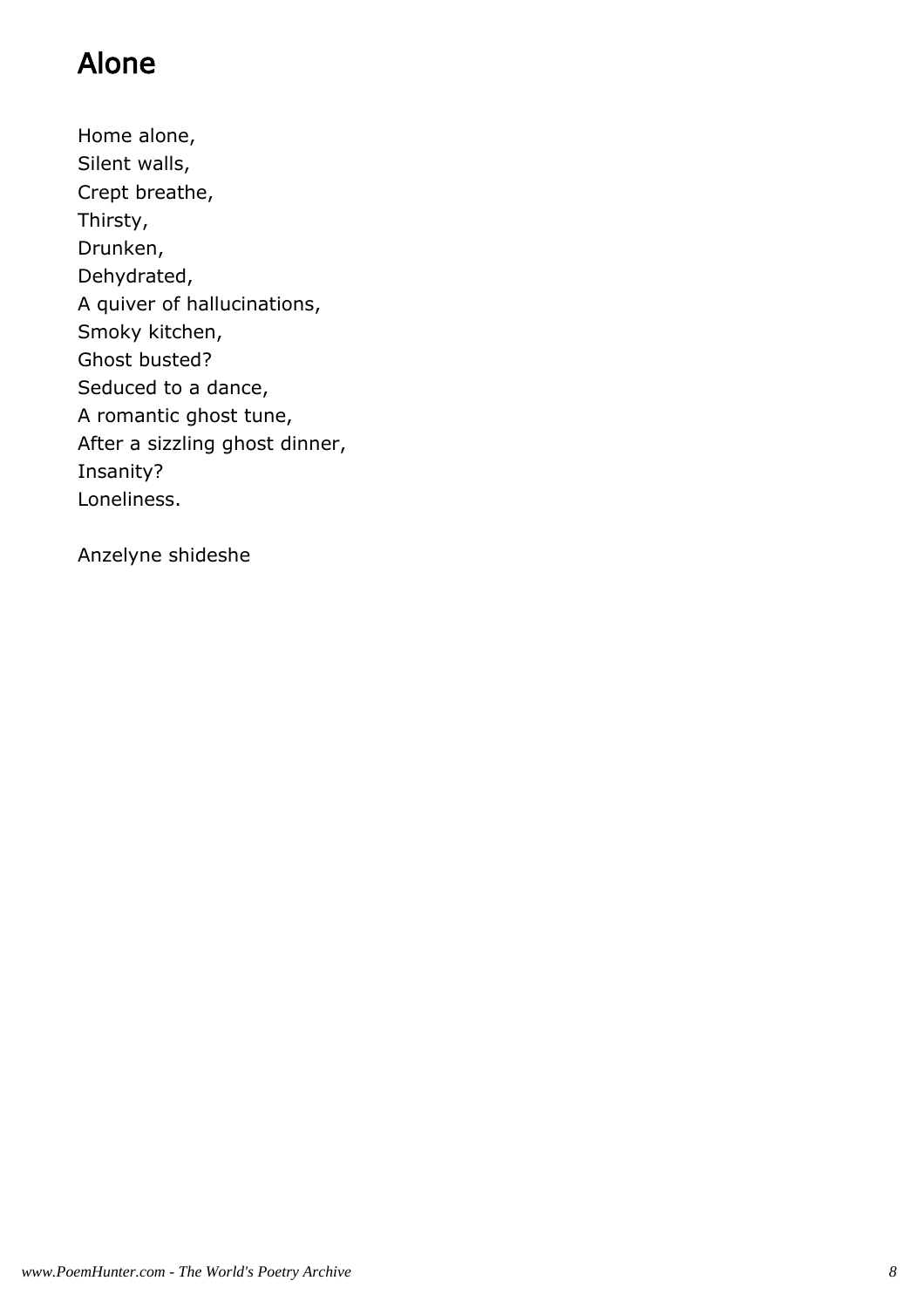# Alone

Home alone, Silent walls, Crept breathe, Thirsty, Drunken, Dehydrated, A quiver of hallucinations, Smoky kitchen, Ghost busted? Seduced to a dance, A romantic ghost tune, After a sizzling ghost dinner, Insanity? Loneliness.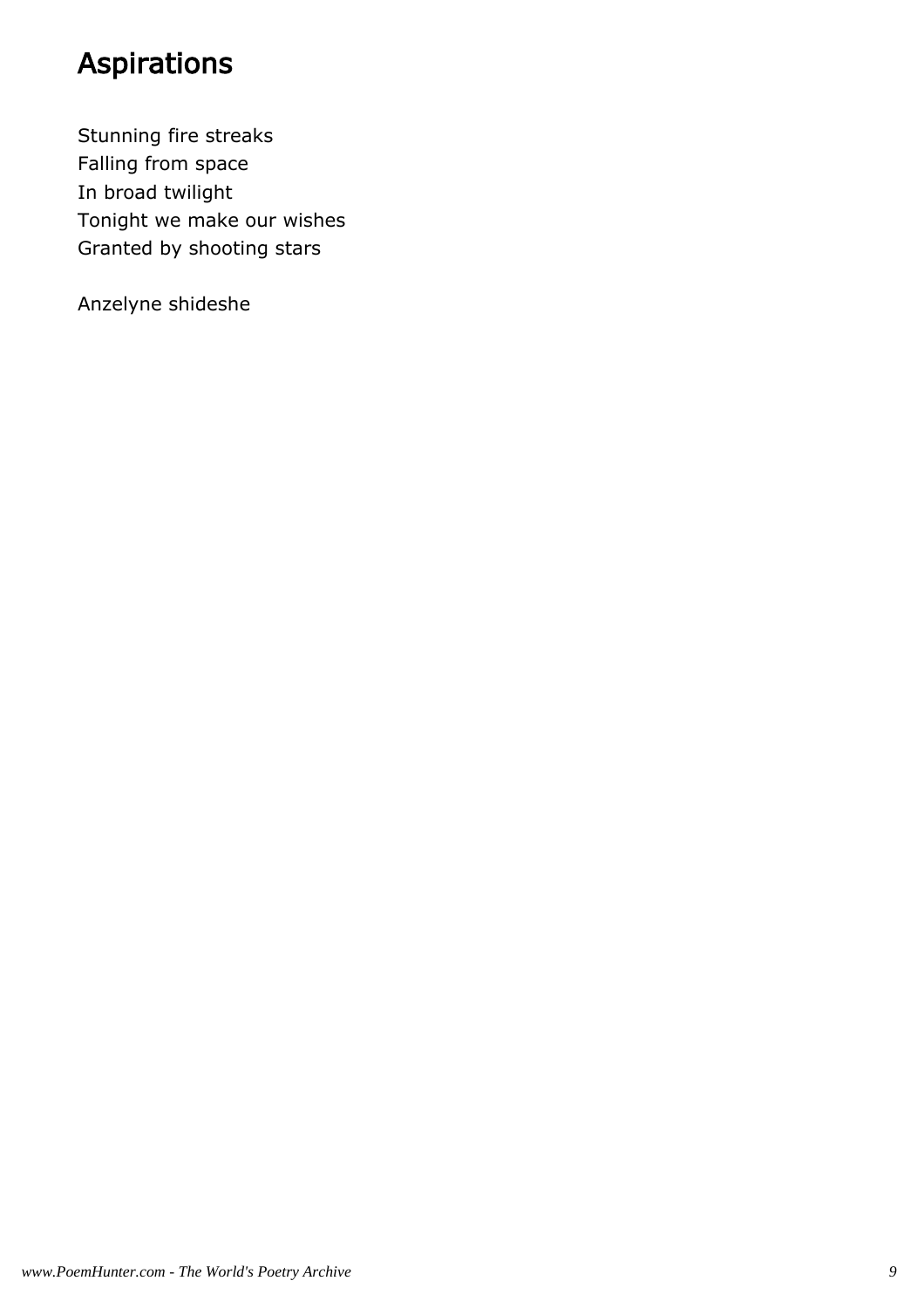# Aspirations

Stunning fire streaks Falling from space In broad twilight Tonight we make our wishes Granted by shooting stars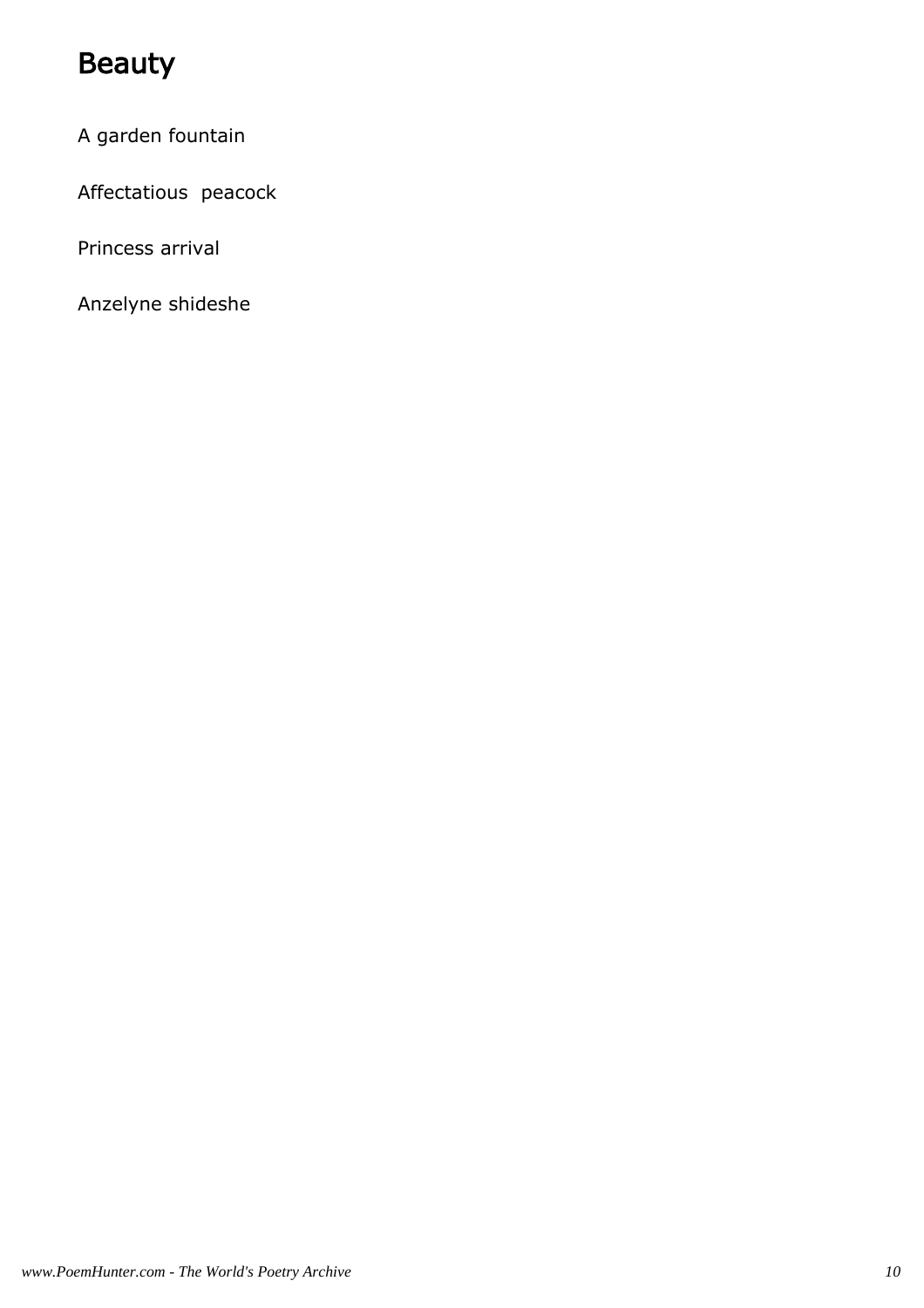# Beauty

#### A garden fountain

Affectatious peacock

Princess arrival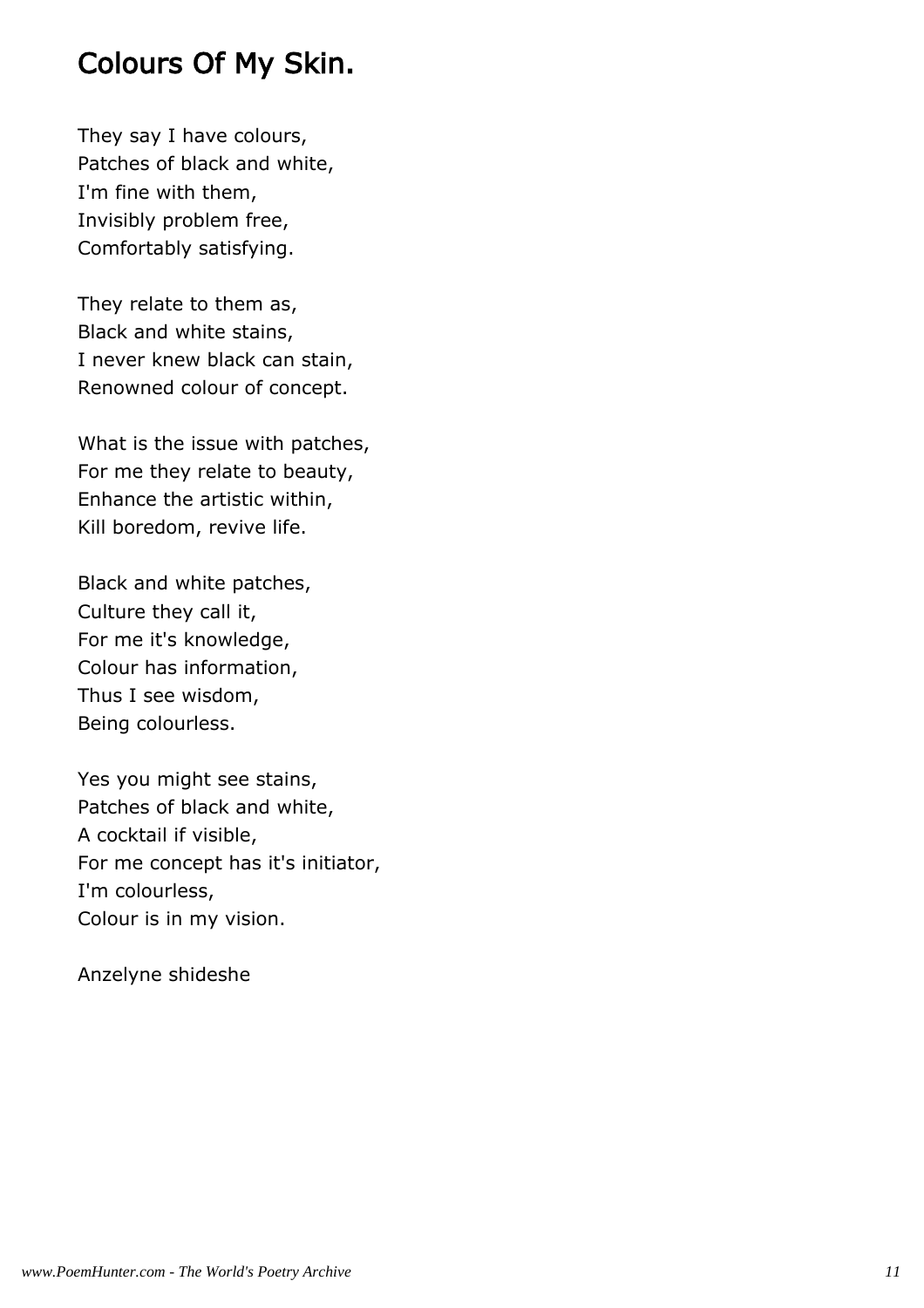#### Colours Of My Skin.

They say I have colours, Patches of black and white, I'm fine with them, Invisibly problem free, Comfortably satisfying.

They relate to them as, Black and white stains, I never knew black can stain, Renowned colour of concept.

What is the issue with patches, For me they relate to beauty, Enhance the artistic within, Kill boredom, revive life.

Black and white patches, Culture they call it, For me it's knowledge, Colour has information, Thus I see wisdom, Being colourless.

Yes you might see stains, Patches of black and white, A cocktail if visible, For me concept has it's initiator, I'm colourless, Colour is in my vision.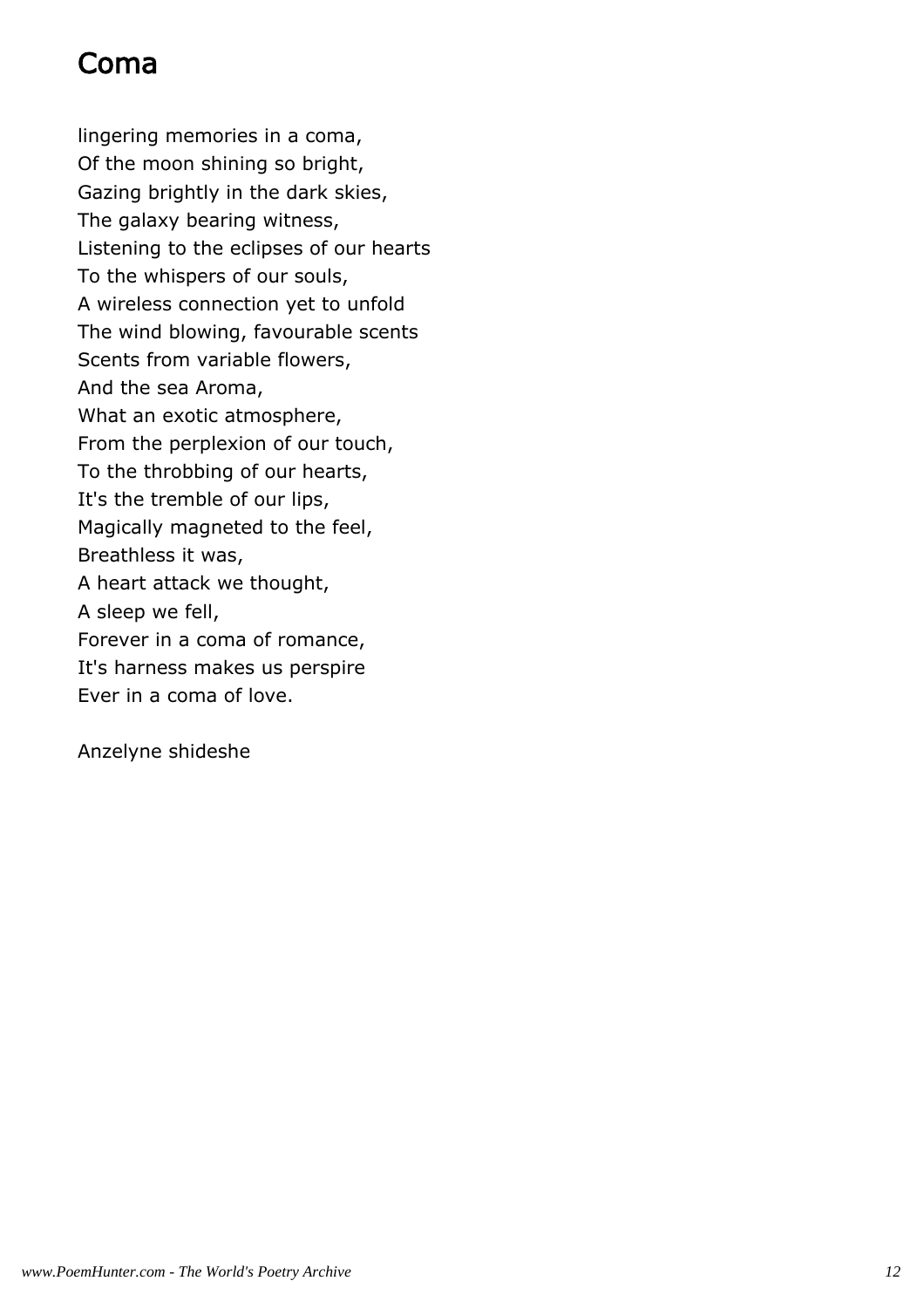#### Coma

lingering memories in a coma, Of the moon shining so bright, Gazing brightly in the dark skies, The galaxy bearing witness, Listening to the eclipses of our hearts To the whispers of our souls, A wireless connection yet to unfold The wind blowing, favourable scents Scents from variable flowers, And the sea Aroma, What an exotic atmosphere, From the perplexion of our touch, To the throbbing of our hearts, It's the tremble of our lips, Magically magneted to the feel, Breathless it was, A heart attack we thought, A sleep we fell, Forever in a coma of romance, It's harness makes us perspire Ever in a coma of love.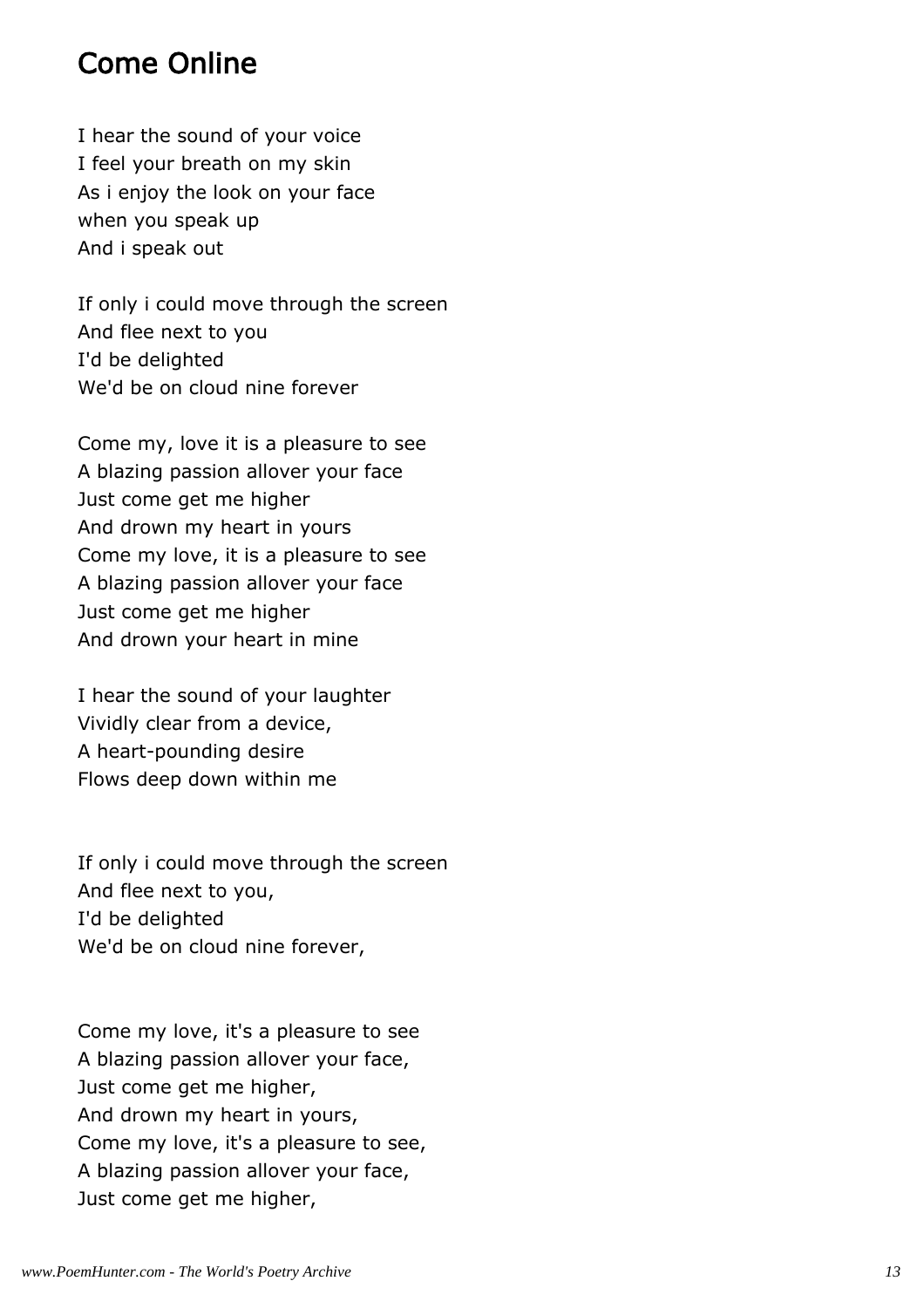#### Come Online

I hear the sound of your voice I feel your breath on my skin As i enjoy the look on your face when you speak up And i speak out

If only i could move through the screen And flee next to you I'd be delighted We'd be on cloud nine forever

Come my, love it is a pleasure to see A blazing passion allover your face Just come get me higher And drown my heart in yours Come my love, it is a pleasure to see A blazing passion allover your face Just come get me higher And drown your heart in mine

I hear the sound of your laughter Vividly clear from a device, A heart-pounding desire Flows deep down within me

If only i could move through the screen And flee next to you, I'd be delighted We'd be on cloud nine forever,

Come my love, it's a pleasure to see A blazing passion allover your face, Just come get me higher, And drown my heart in yours, Come my love, it's a pleasure to see, A blazing passion allover your face, Just come get me higher,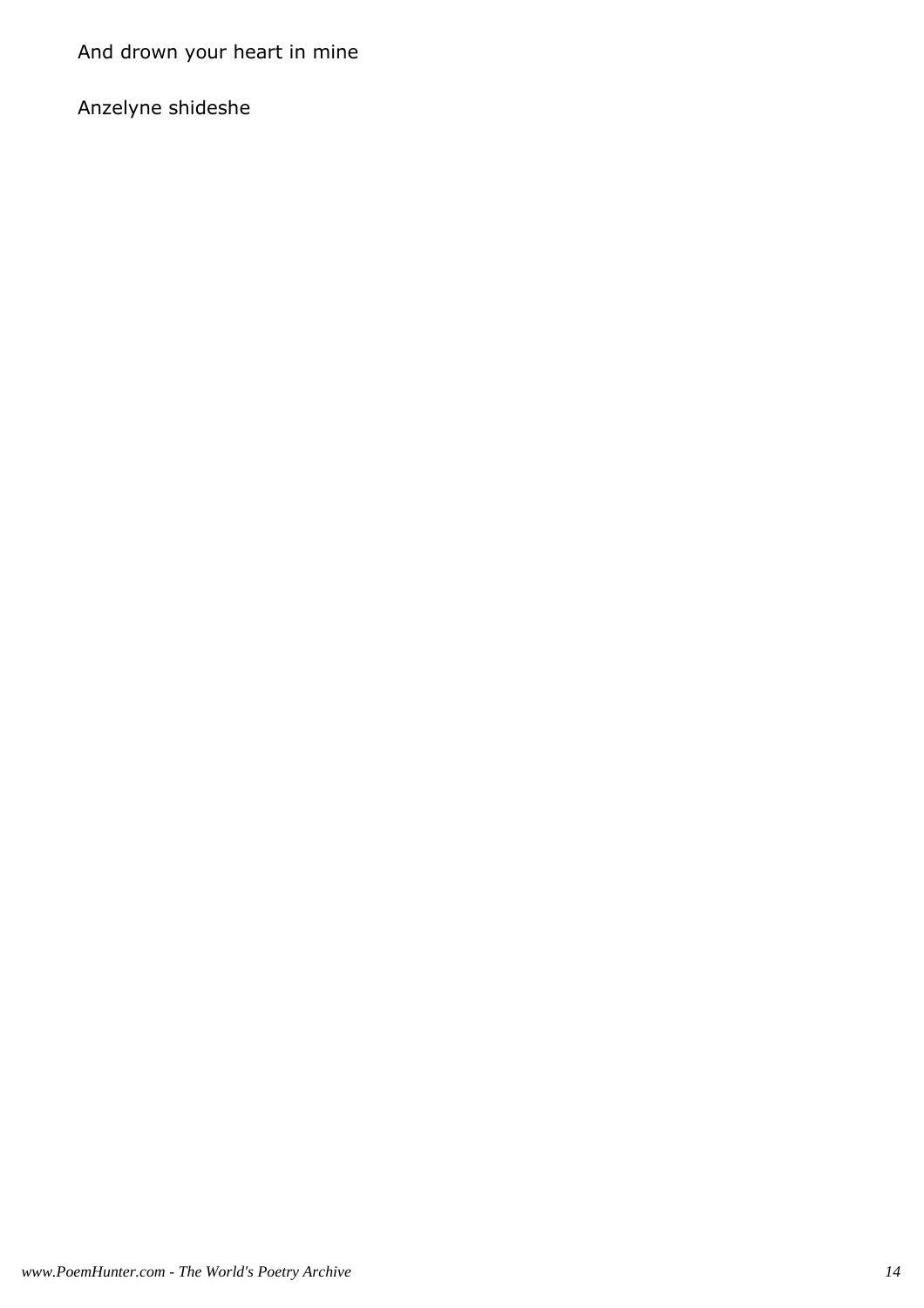And drown your heart in mine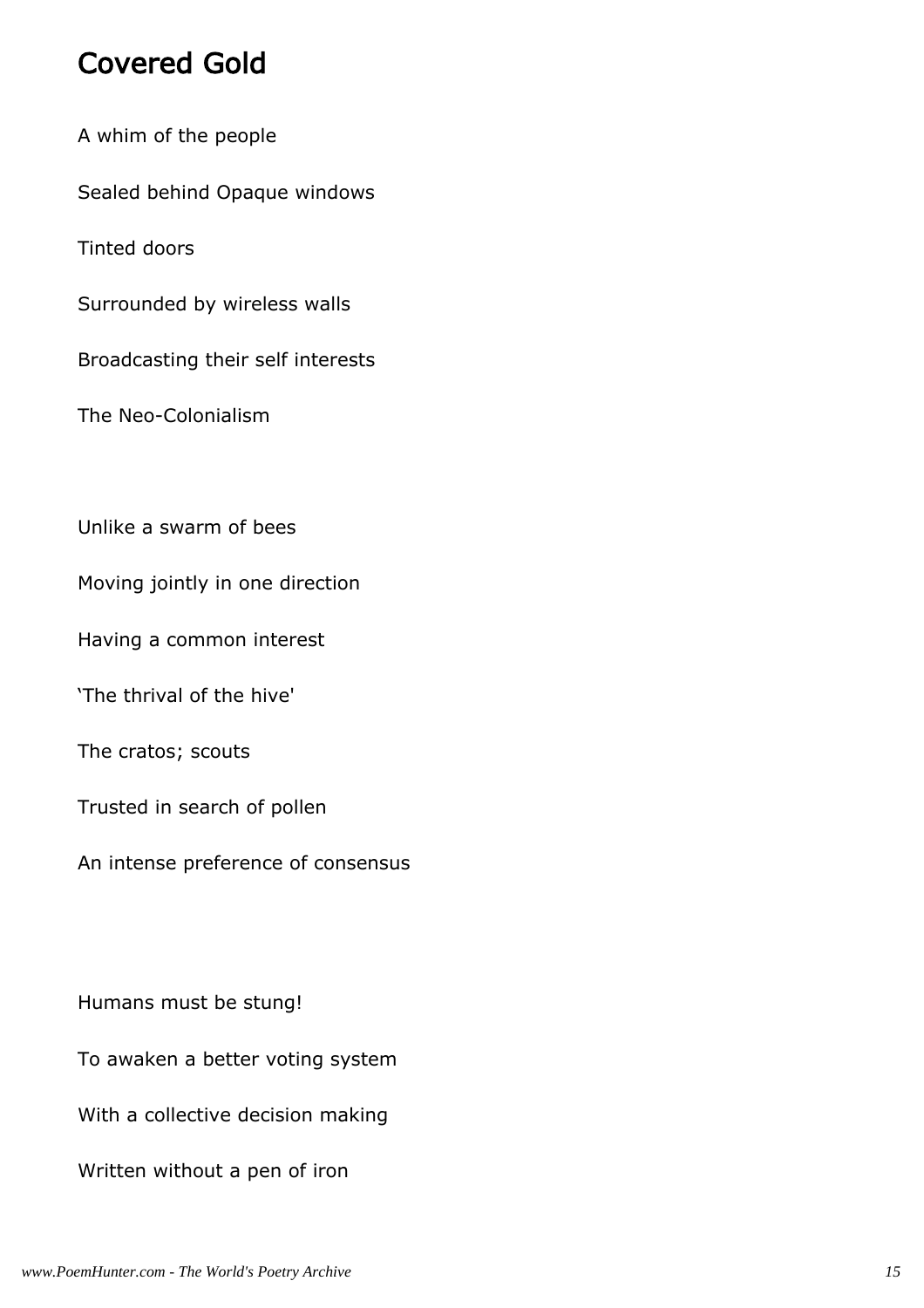#### Covered Gold

A whim of the people

Sealed behind Opaque windows

Tinted doors

Surrounded by wireless walls

Broadcasting their self interests

The Neo-Colonialism

Unlike a swarm of bees

Moving jointly in one direction

Having a common interest

'The thrival of the hive'

The cratos; scouts

Trusted in search of pollen

An intense preference of consensus

Humans must be stung!

To awaken a better voting system

With a collective decision making

Written without a pen of iron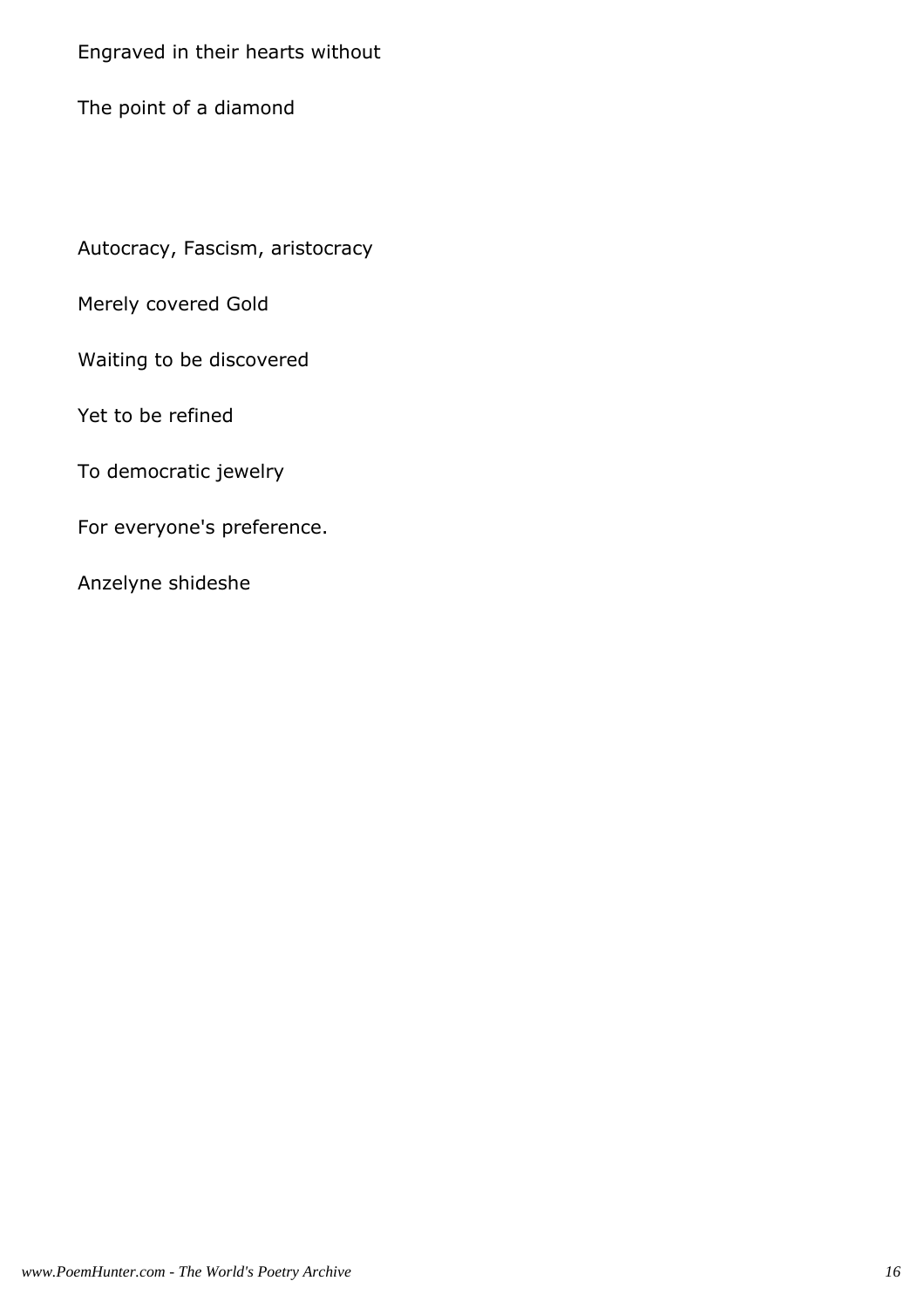#### Engraved in their hearts without

The point of a diamond

Autocracy, Fascism, aristocracy

Merely covered Gold

Waiting to be discovered

Yet to be refined

To democratic jewelry

For everyone's preference.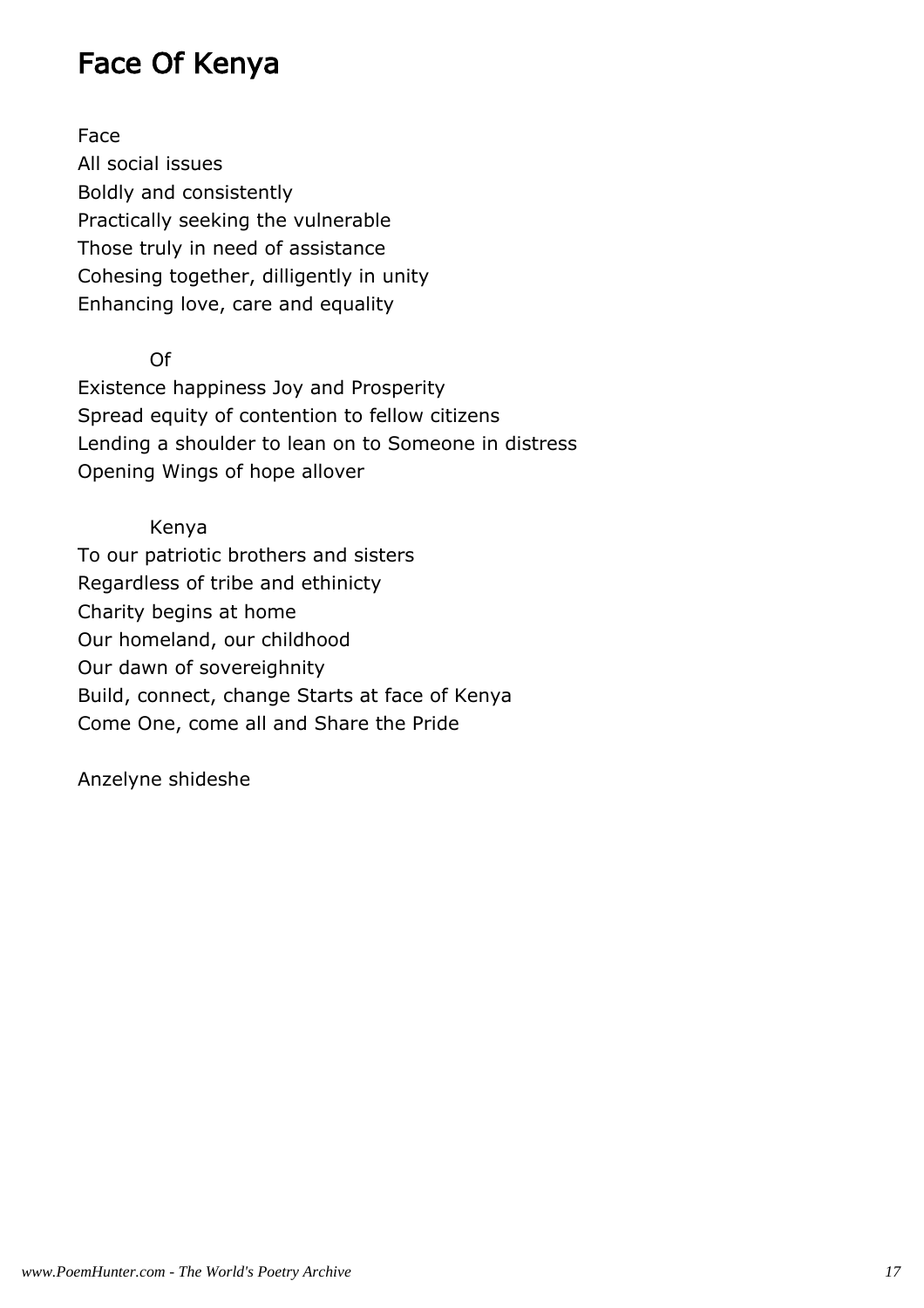#### Face Of Kenya

Face All social issues Boldly and consistently Practically seeking the vulnerable Those truly in need of assistance Cohesing together, dilligently in unity Enhancing love, care and equality

#### Of

Existence happiness Joy and Prosperity Spread equity of contention to fellow citizens Lending a shoulder to lean on to Someone in distress Opening Wings of hope allover

 Kenya To our patriotic brothers and sisters Regardless of tribe and ethinicty Charity begins at home Our homeland, our childhood Our dawn of sovereighnity Build, connect, change Starts at face of Kenya Come One, come all and Share the Pride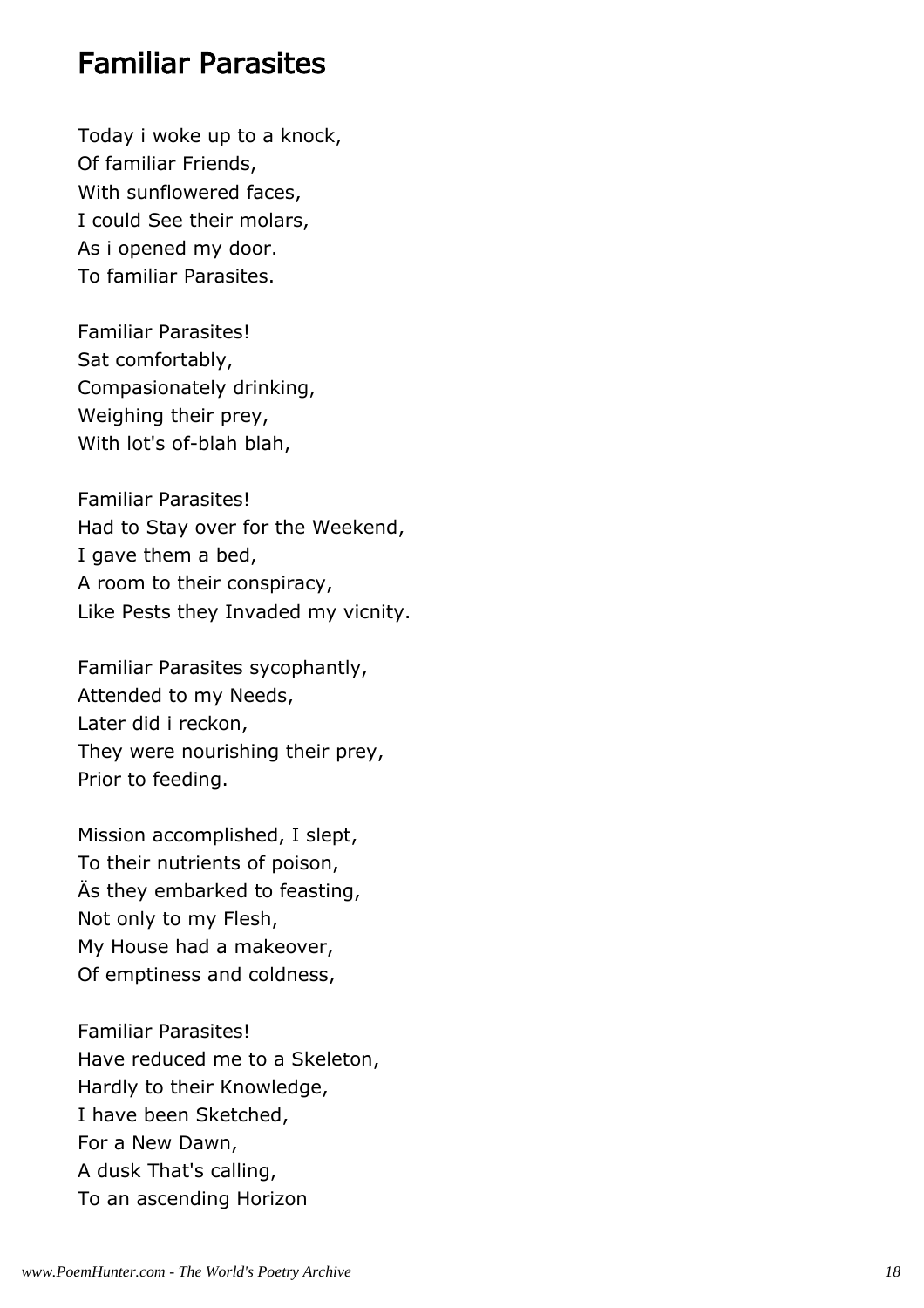#### Familiar Parasites

Today i woke up to a knock, Of familiar Friends, With sunflowered faces, I could See their molars, As i opened my door. To familiar Parasites.

Familiar Parasites! Sat comfortably, Compasionately drinking, Weighing their prey, With lot's of-blah blah,

Familiar Parasites! Had to Stay over for the Weekend, I gave them a bed, A room to their conspiracy, Like Pests they Invaded my vicnity.

Familiar Parasites sycophantly, Attended to my Needs, Later did i reckon, They were nourishing their prey, Prior to feeding.

Mission accomplished, I slept, To their nutrients of poison, Äs they embarked to feasting, Not only to my Flesh, My House had a makeover, Of emptiness and coldness,

Familiar Parasites! Have reduced me to a Skeleton, Hardly to their Knowledge, I have been Sketched, For a New Dawn, A dusk That's calling, To an ascending Horizon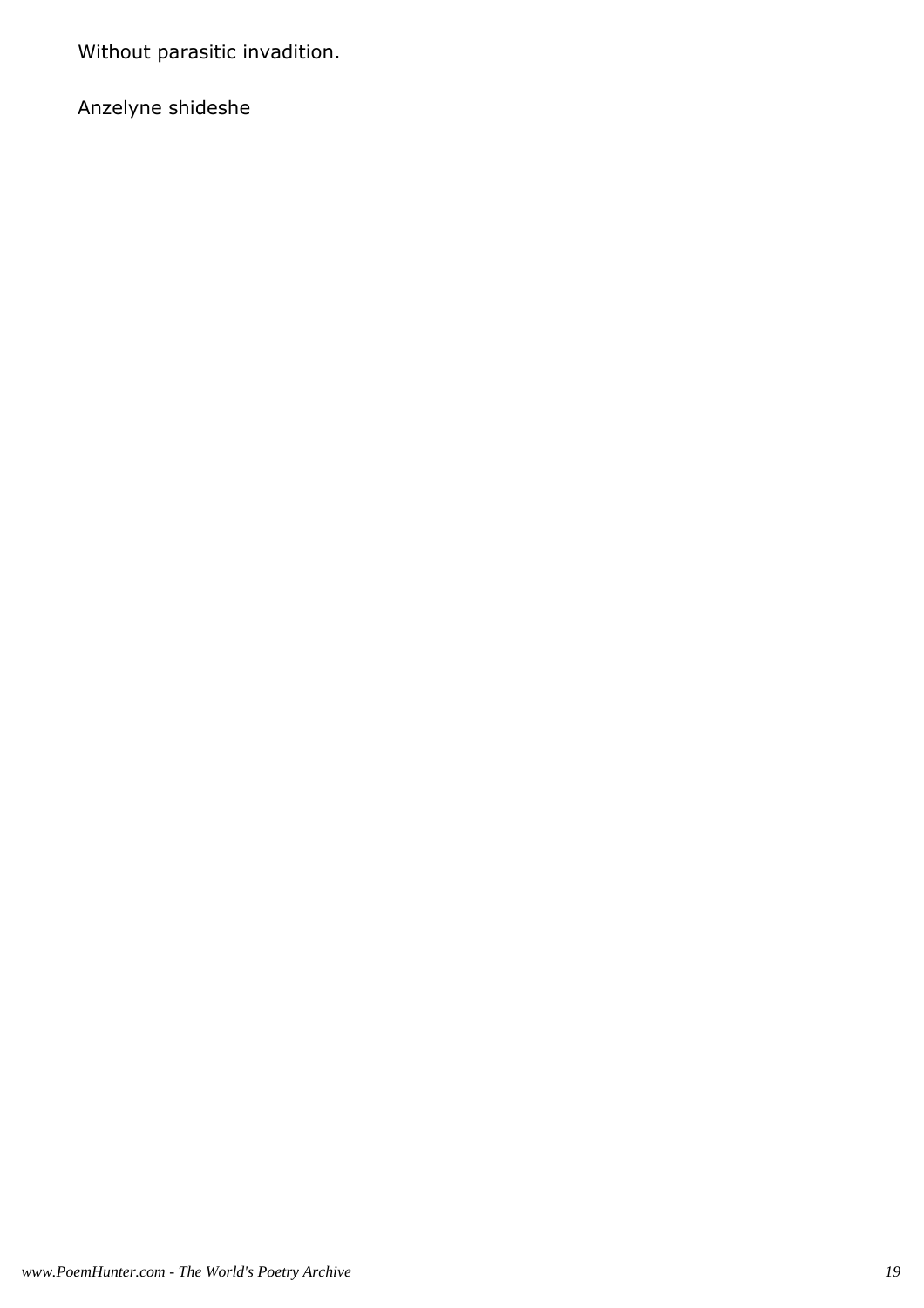Without parasitic invadition.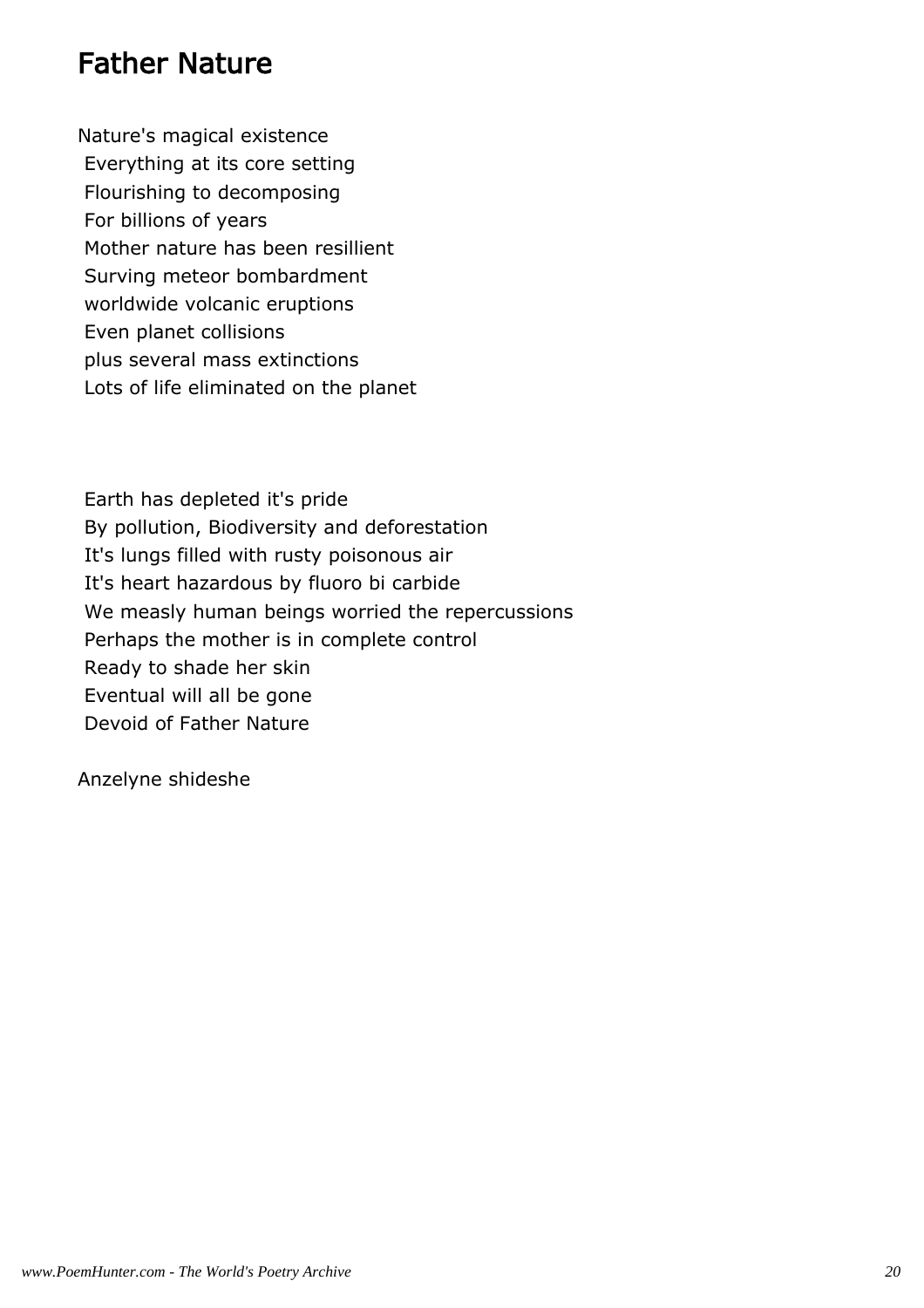#### Father Nature

Nature's magical existence Everything at its core setting Flourishing to decomposing For billions of years Mother nature has been resillient Surving meteor bombardment worldwide volcanic eruptions Even planet collisions plus several mass extinctions Lots of life eliminated on the planet

 Earth has depleted it's pride By pollution, Biodiversity and deforestation It's lungs filled with rusty poisonous air It's heart hazardous by fluoro bi carbide We measly human beings worried the repercussions Perhaps the mother is in complete control Ready to shade her skin Eventual will all be gone Devoid of Father Nature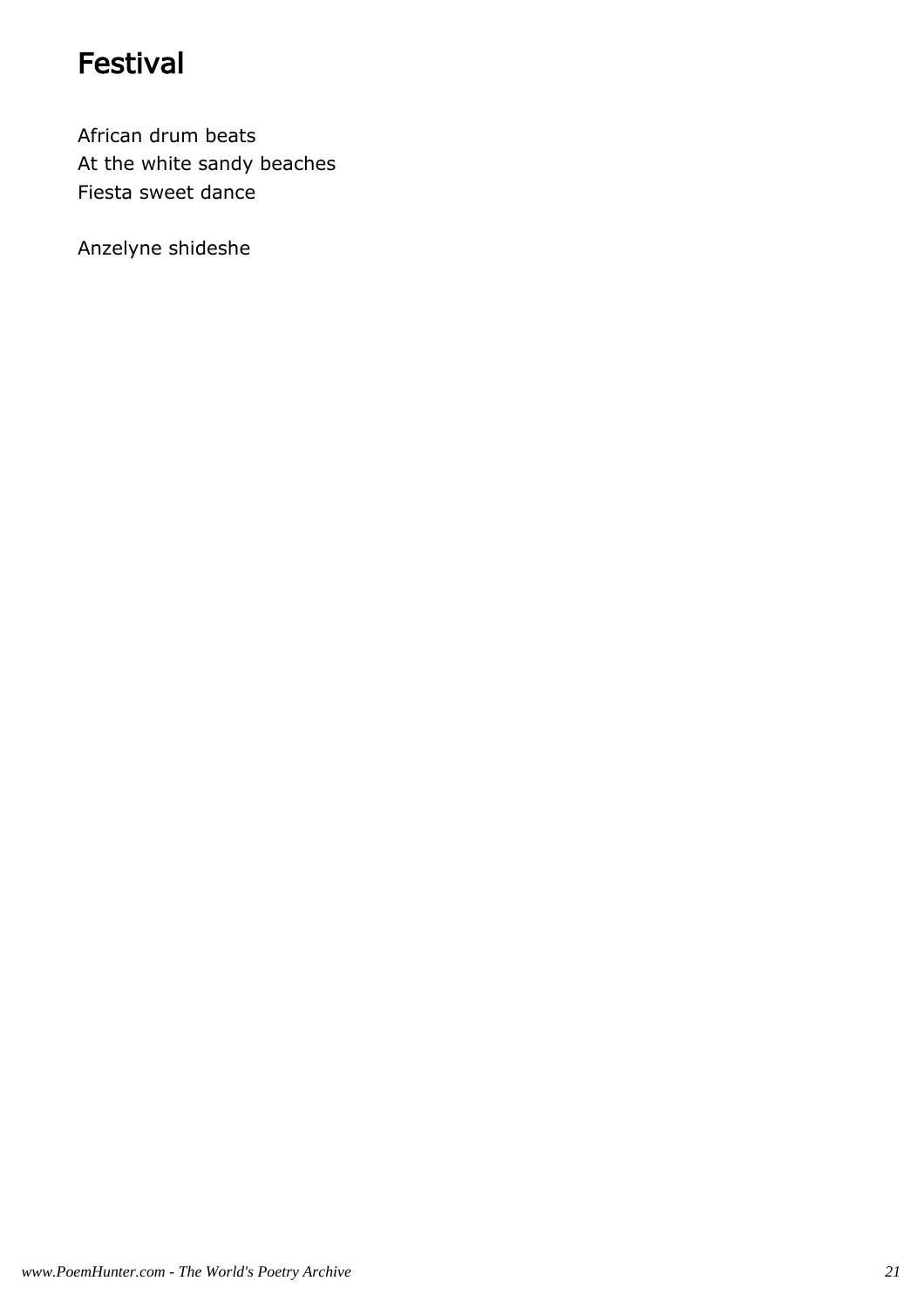#### Festival

African drum beats At the white sandy beaches Fiesta sweet dance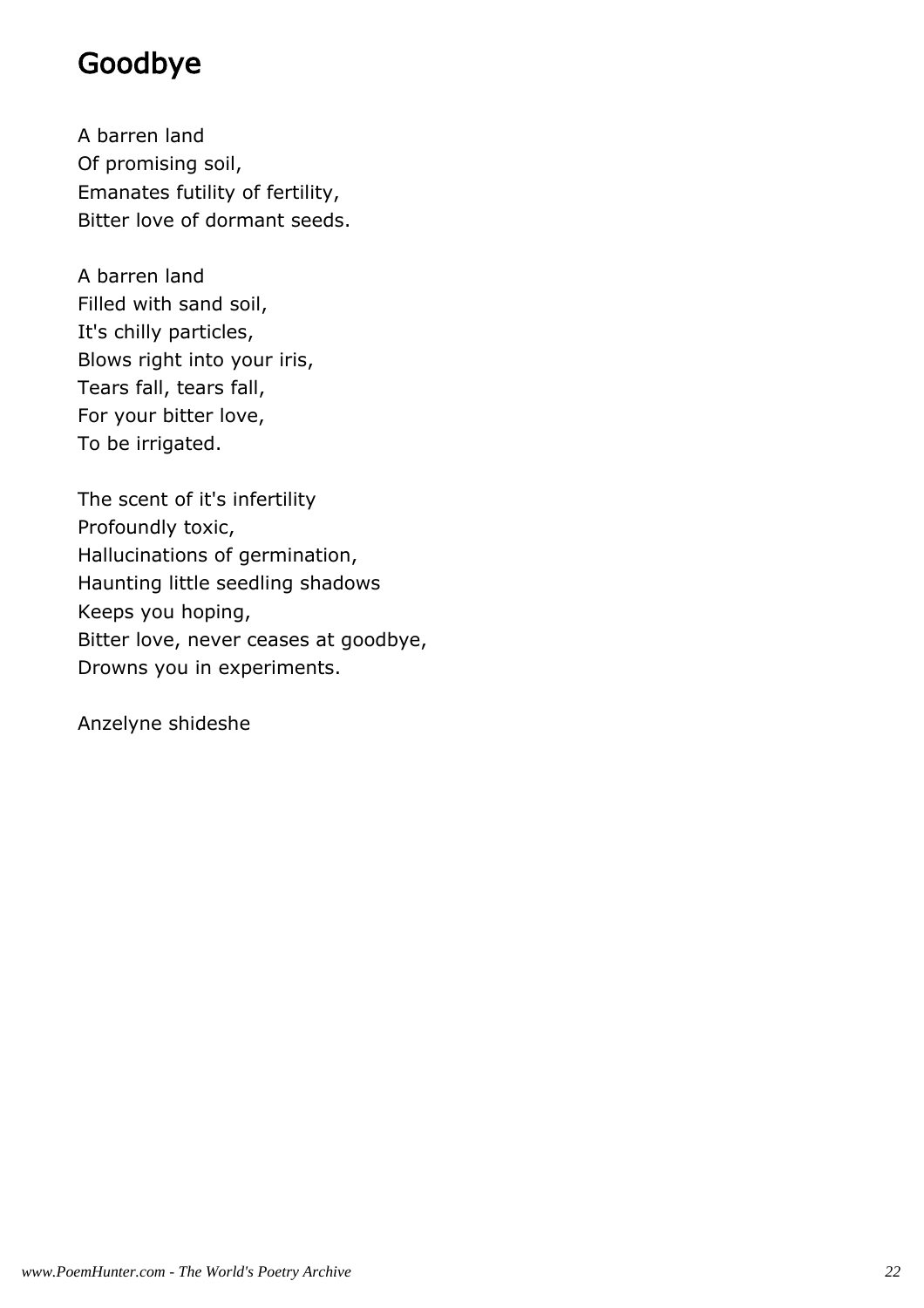## Goodbye

A barren land Of promising soil, Emanates futility of fertility, Bitter love of dormant seeds.

A barren land Filled with sand soil, It's chilly particles, Blows right into your iris, Tears fall, tears fall, For your bitter love, To be irrigated.

The scent of it's infertility Profoundly toxic, Hallucinations of germination, Haunting little seedling shadows Keeps you hoping, Bitter love, never ceases at goodbye, Drowns you in experiments.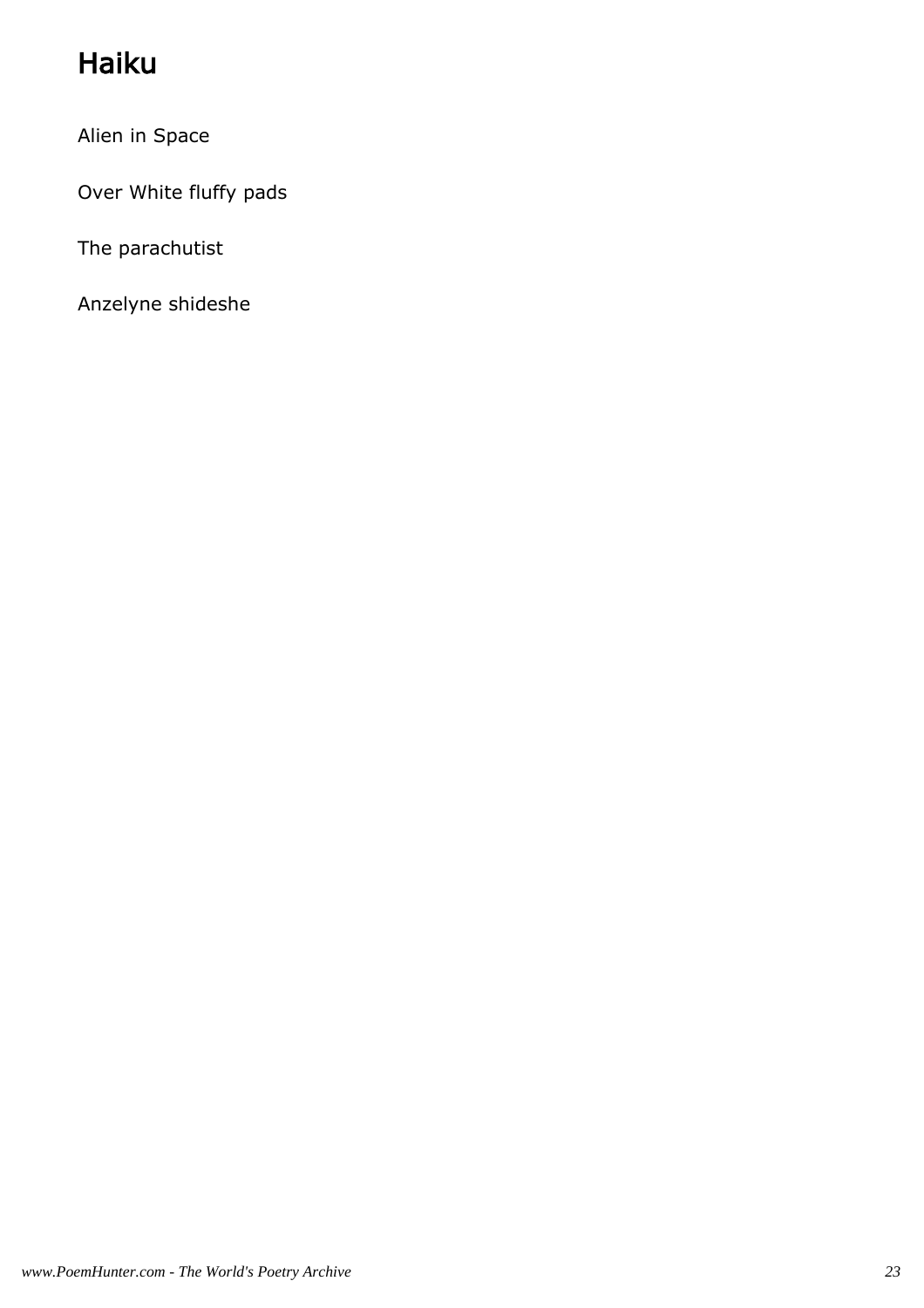# Haiku

Alien in Space

Over White fluffy pads

The parachutist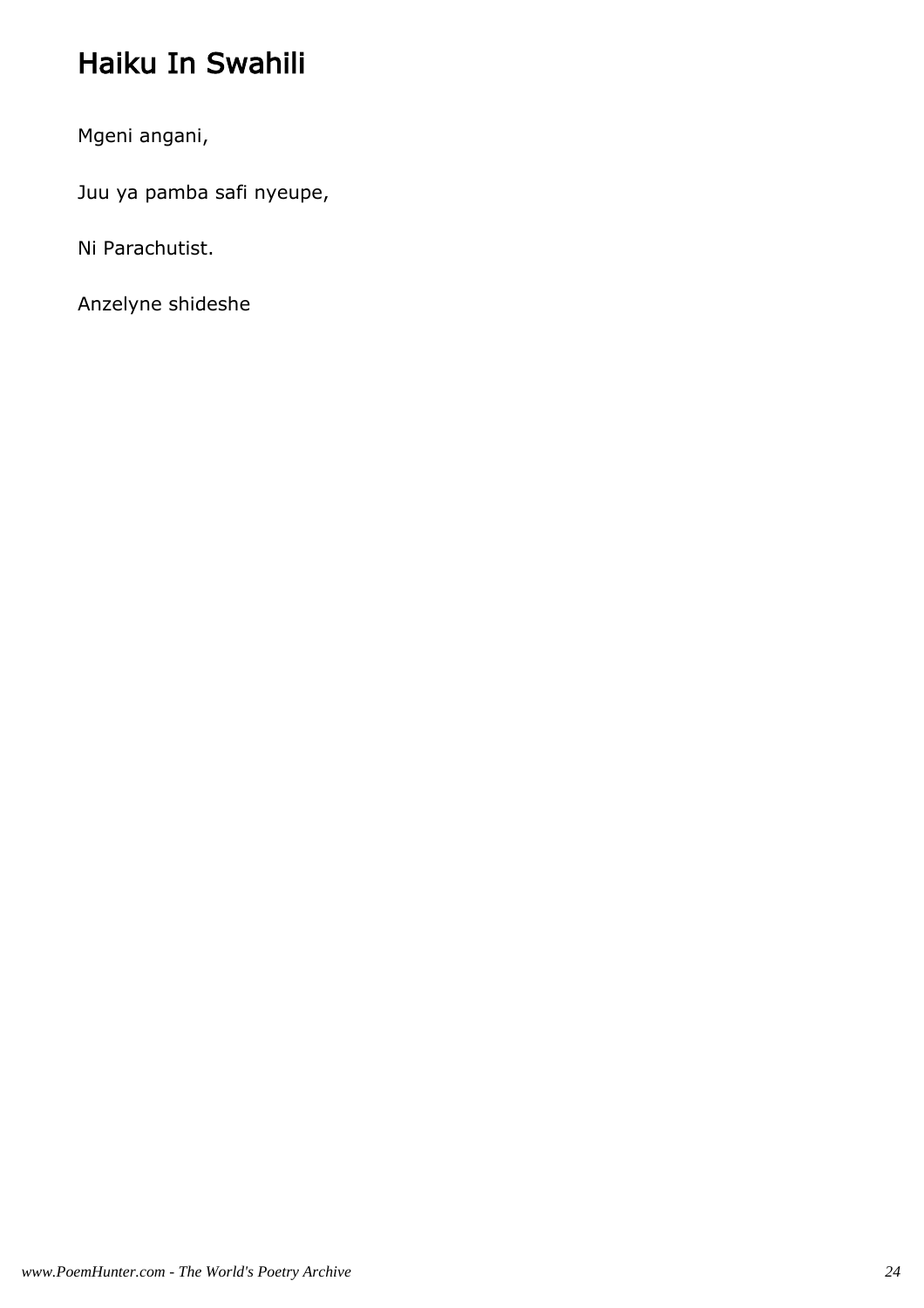# Haiku In Swahili

Mgeni angani,

Juu ya pamba safi nyeupe,

Ni Parachutist.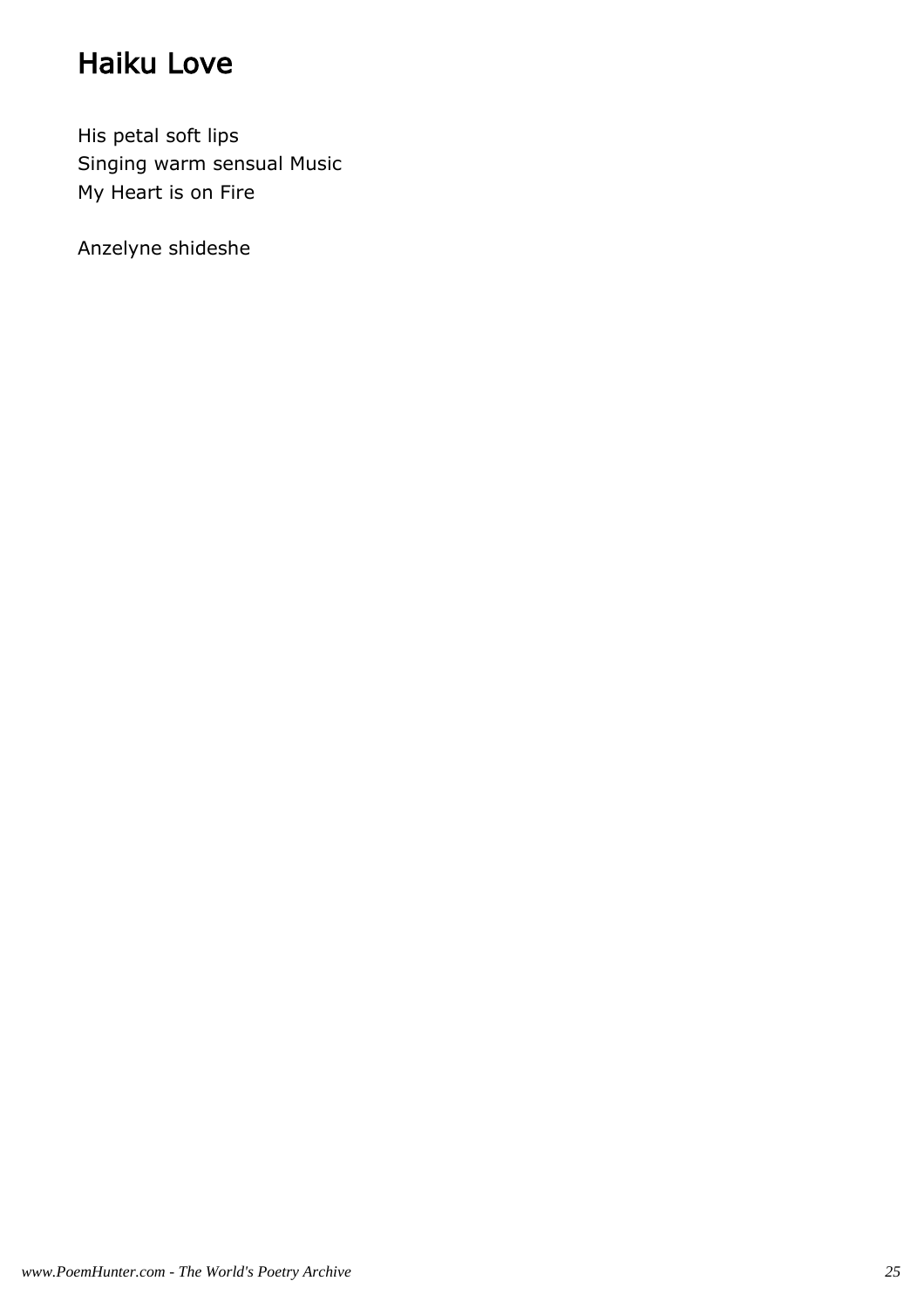#### Haiku Love

His petal soft lips Singing warm sensual Music My Heart is on Fire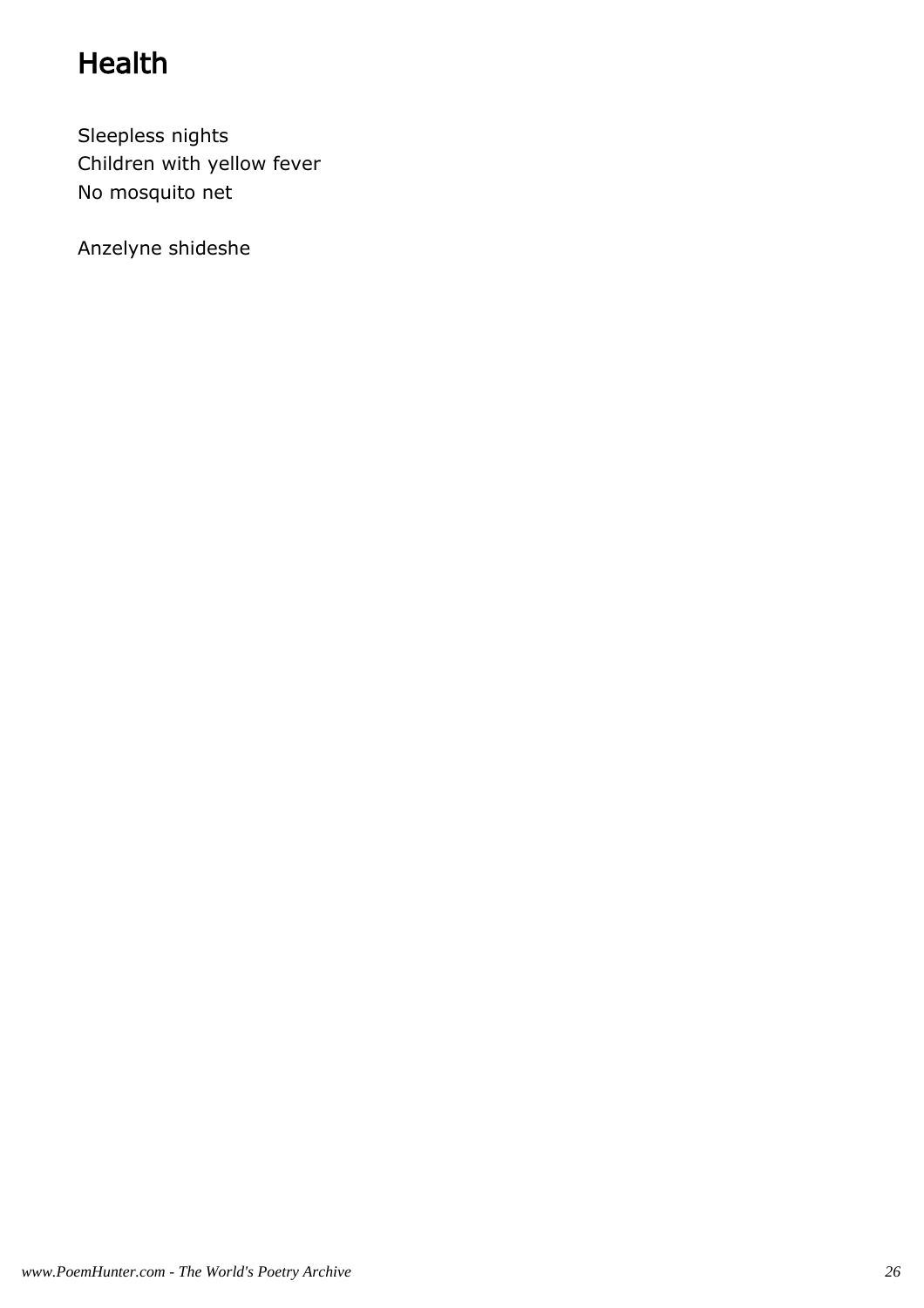# Health

Sleepless nights Children with yellow fever No mosquito net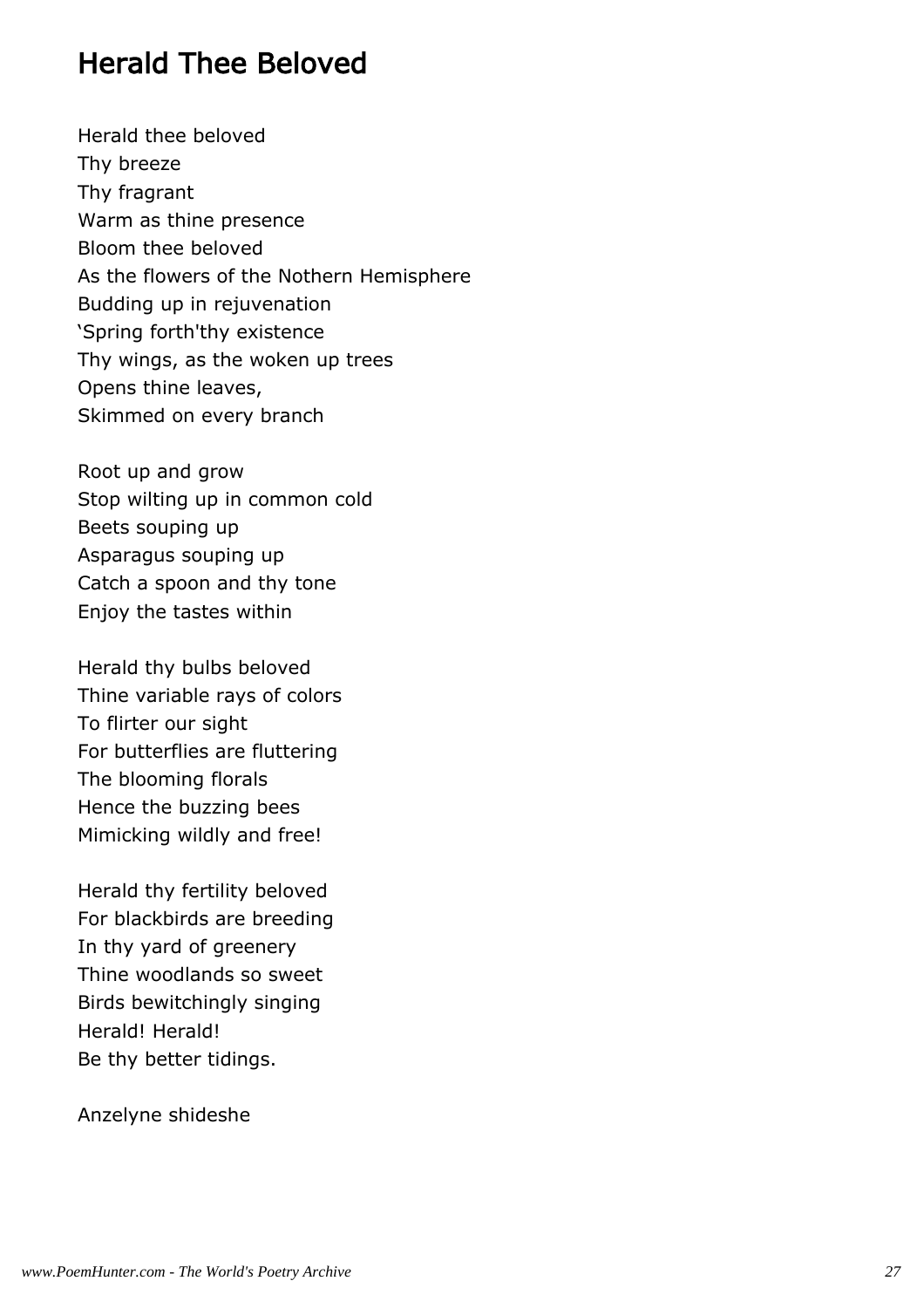#### Herald Thee Beloved

Herald thee beloved Thy breeze Thy fragrant Warm as thine presence Bloom thee beloved As the flowers of the Nothern Hemisphere Budding up in rejuvenation 'Spring forth'thy existence Thy wings, as the woken up trees Opens thine leaves, Skimmed on every branch

Root up and grow Stop wilting up in common cold Beets souping up Asparagus souping up Catch a spoon and thy tone Enjoy the tastes within

Herald thy bulbs beloved Thine variable rays of colors To flirter our sight For butterflies are fluttering The blooming florals Hence the buzzing bees Mimicking wildly and free!

Herald thy fertility beloved For blackbirds are breeding In thy yard of greenery Thine woodlands so sweet Birds bewitchingly singing Herald! Herald! Be thy better tidings.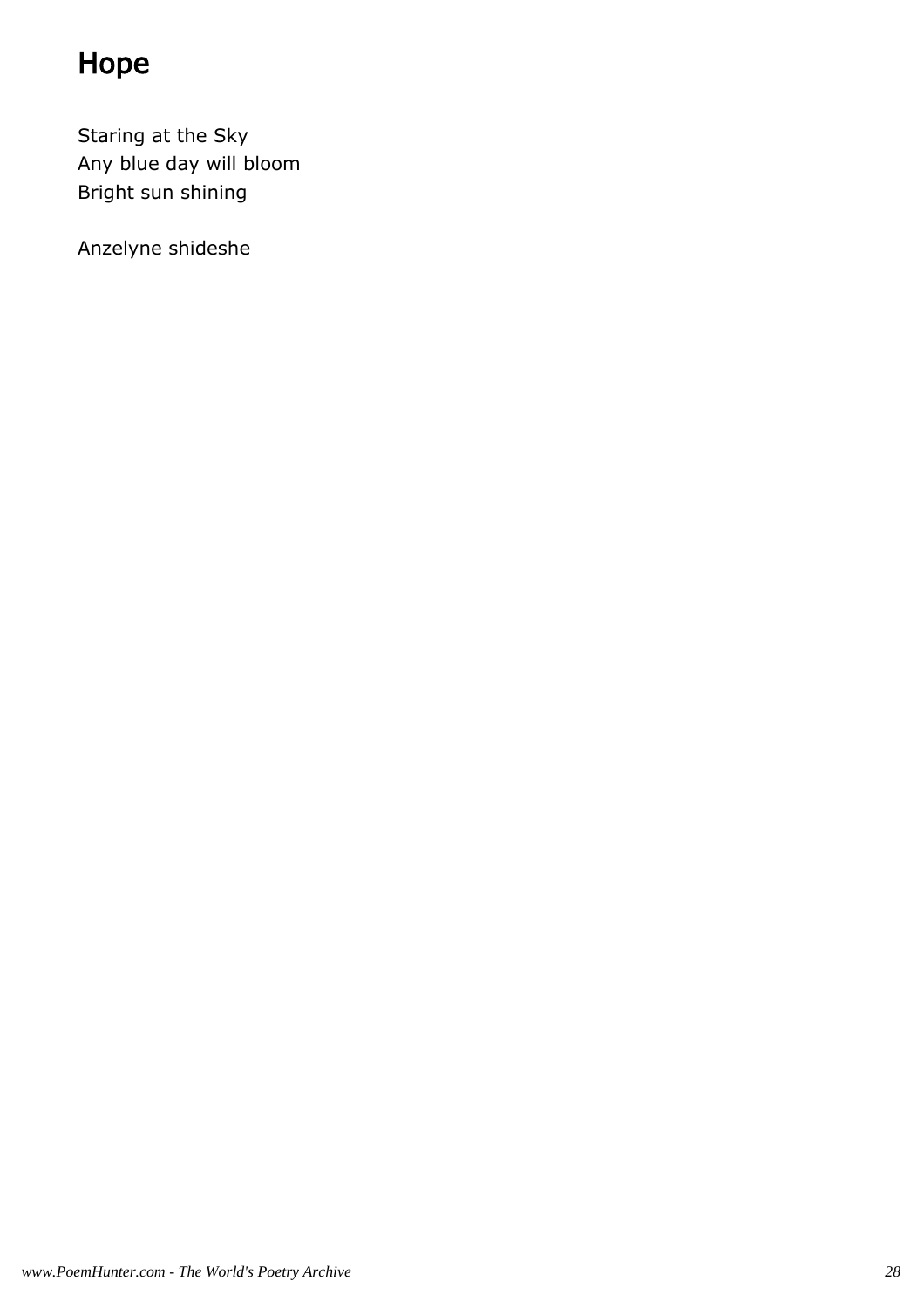# Hope

Staring at the Sky Any blue day will bloom Bright sun shining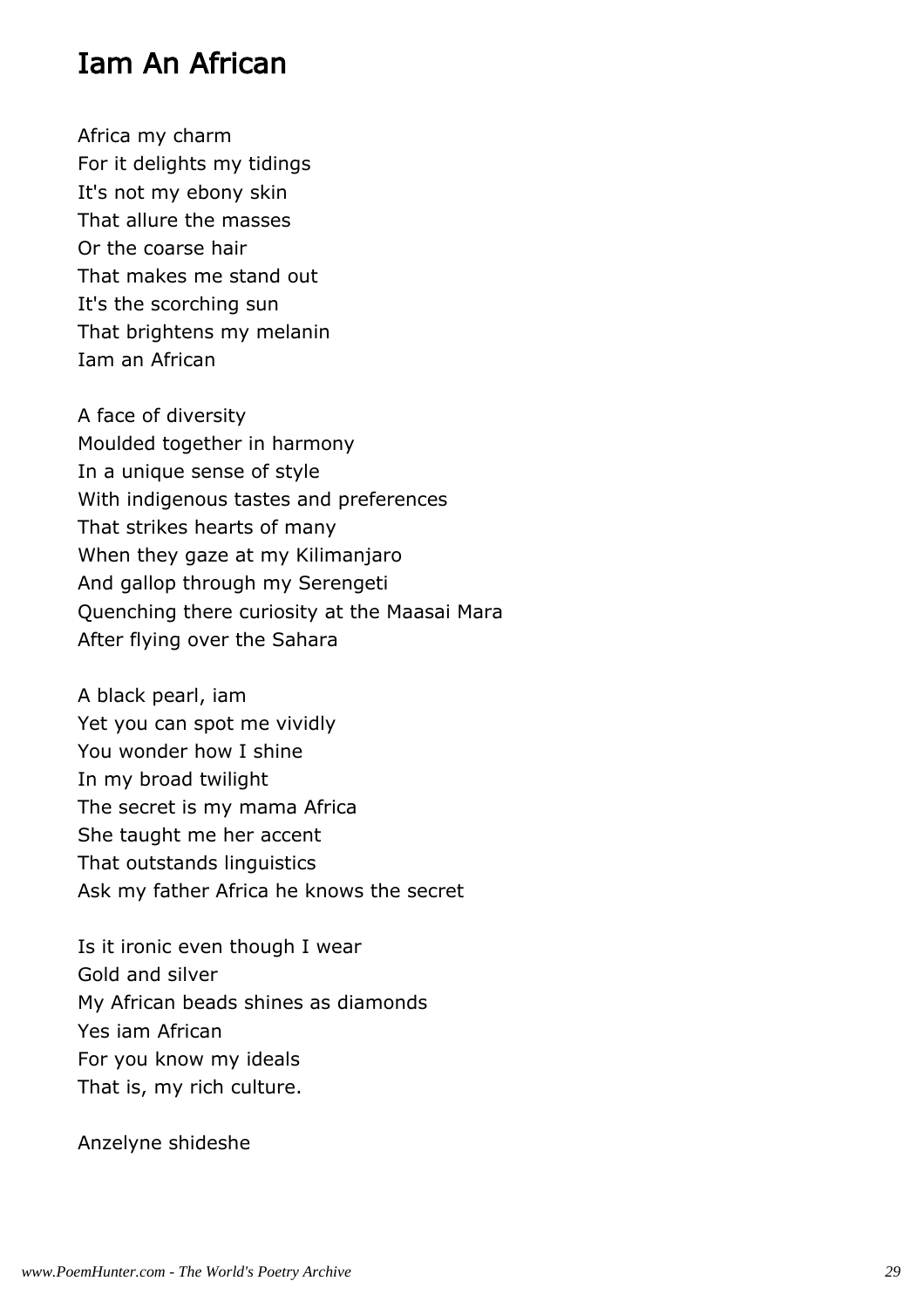#### Iam An African

Africa my charm For it delights my tidings It's not my ebony skin That allure the masses Or the coarse hair That makes me stand out It's the scorching sun That brightens my melanin Iam an African

A face of diversity Moulded together in harmony In a unique sense of style With indigenous tastes and preferences That strikes hearts of many When they gaze at my Kilimanjaro And gallop through my Serengeti Quenching there curiosity at the Maasai Mara After flying over the Sahara

A black pearl, iam Yet you can spot me vividly You wonder how I shine In my broad twilight The secret is my mama Africa She taught me her accent That outstands linguistics Ask my father Africa he knows the secret

Is it ironic even though I wear Gold and silver My African beads shines as diamonds Yes iam African For you know my ideals That is, my rich culture.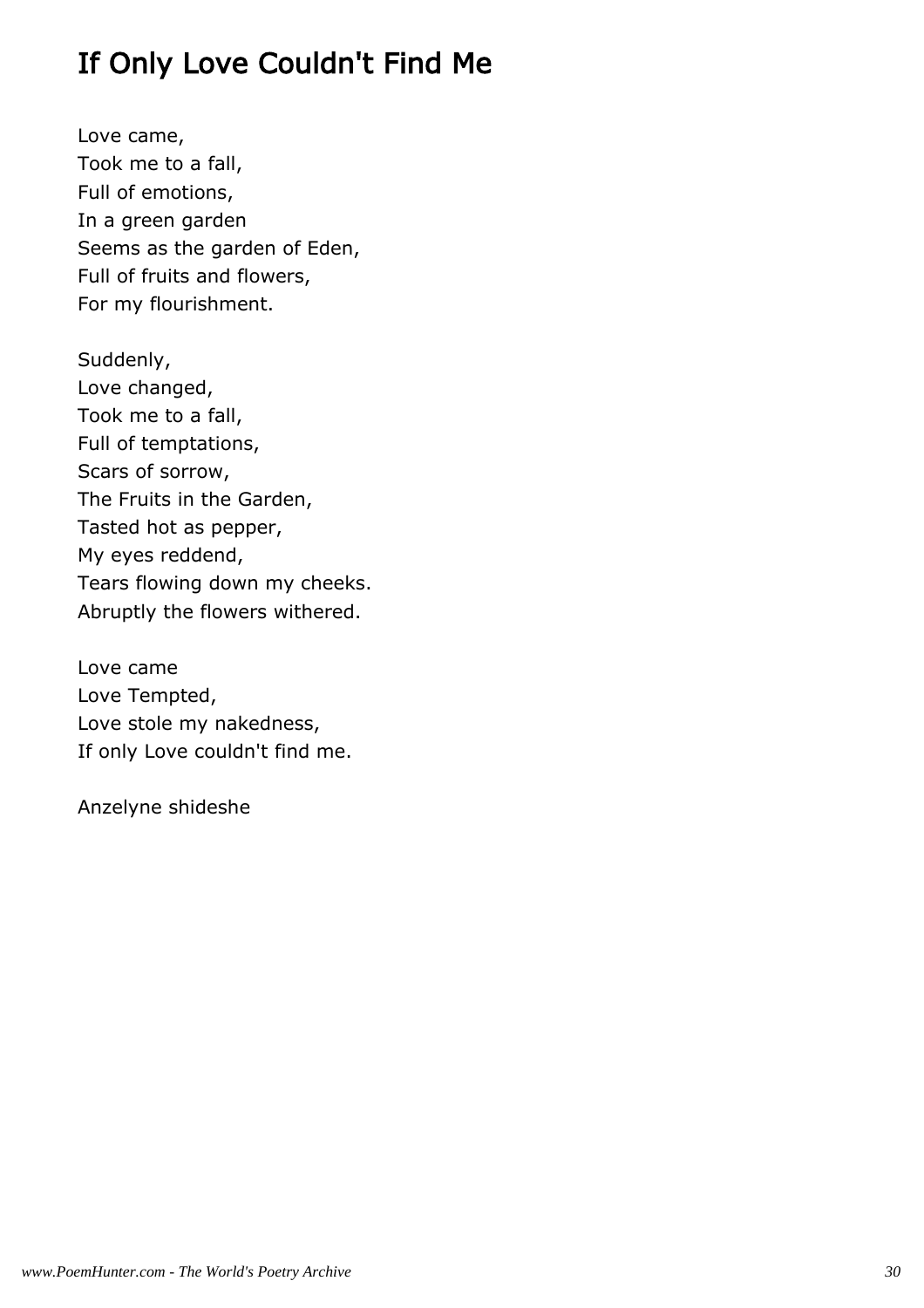# If Only Love Couldn't Find Me

Love came, Took me to a fall, Full of emotions, In a green garden Seems as the garden of Eden, Full of fruits and flowers, For my flourishment.

Suddenly, Love changed, Took me to a fall, Full of temptations, Scars of sorrow, The Fruits in the Garden, Tasted hot as pepper, My eyes reddend, Tears flowing down my cheeks. Abruptly the flowers withered.

Love came Love Tempted, Love stole my nakedness, If only Love couldn't find me.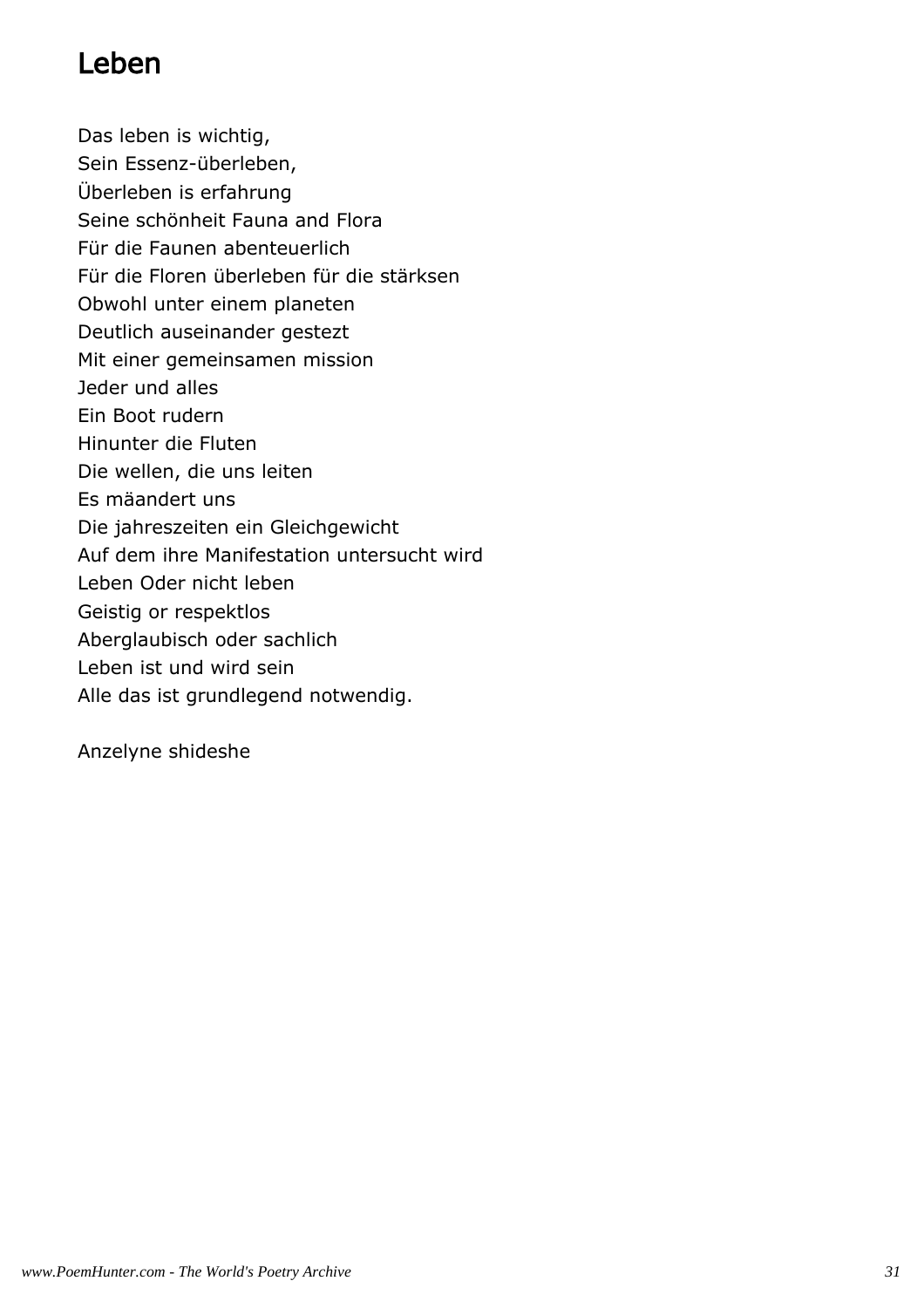#### Leben

Das leben is wichtig, Sein Essenz-überleben, Überleben is erfahrung Seine schönheit Fauna and Flora Für die Faunen abenteuerlich Für die Floren überleben für die stärksen Obwohl unter einem planeten Deutlich auseinander gestezt Mit einer gemeinsamen mission Jeder und alles Ein Boot rudern Hinunter die Fluten Die wellen, die uns leiten Es mäandert uns Die jahreszeiten ein Gleichgewicht Auf dem ihre Manifestation untersucht wird Leben Oder nicht leben Geistig or respektlos Aberglaubisch oder sachlich Leben ist und wird sein Alle das ist grundlegend notwendig.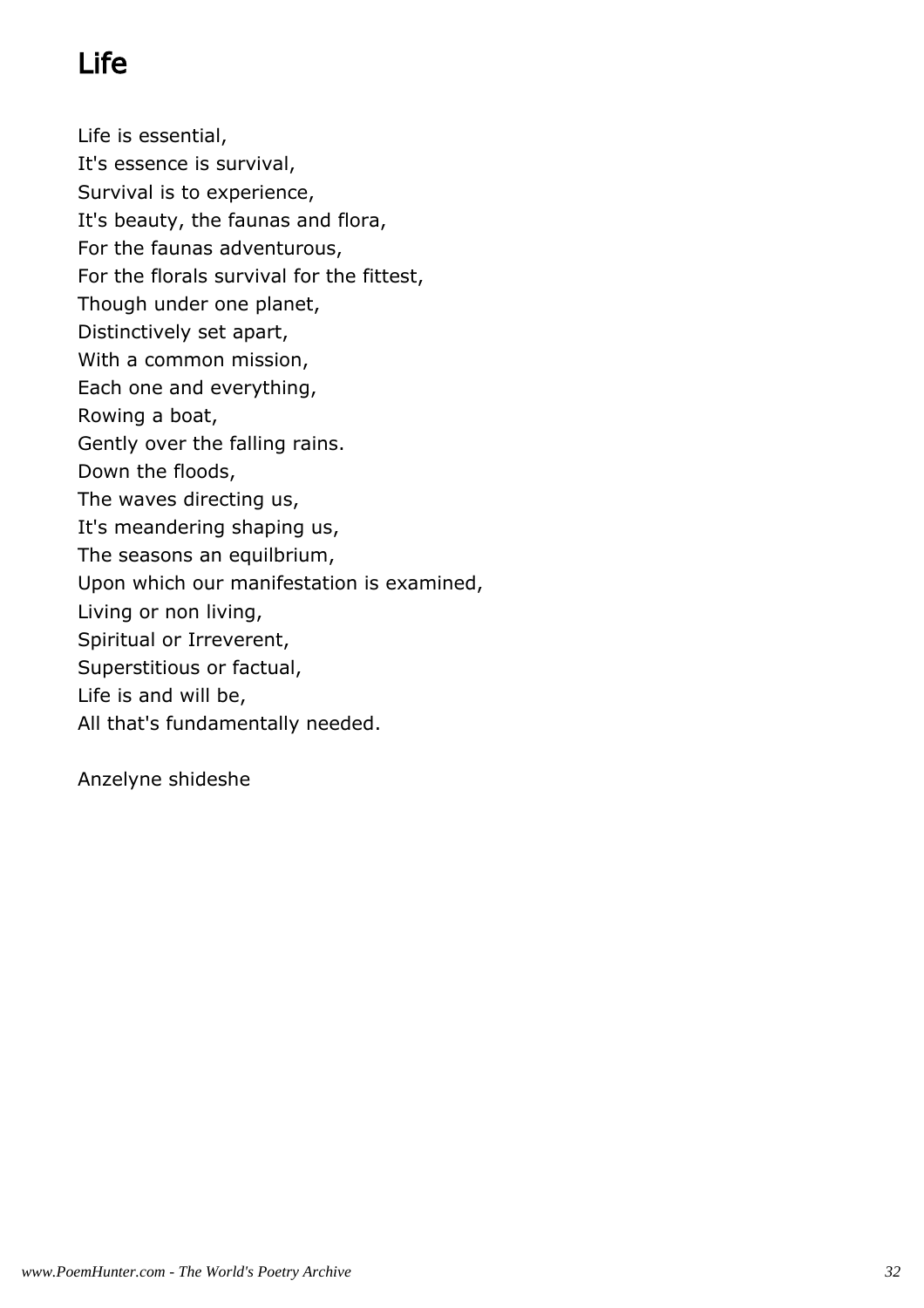# Life

Life is essential, It's essence is survival, Survival is to experience, It's beauty, the faunas and flora, For the faunas adventurous, For the florals survival for the fittest, Though under one planet, Distinctively set apart, With a common mission, Each one and everything, Rowing a boat, Gently over the falling rains. Down the floods, The waves directing us, It's meandering shaping us, The seasons an equilbrium, Upon which our manifestation is examined, Living or non living, Spiritual or Irreverent, Superstitious or factual, Life is and will be, All that's fundamentally needed.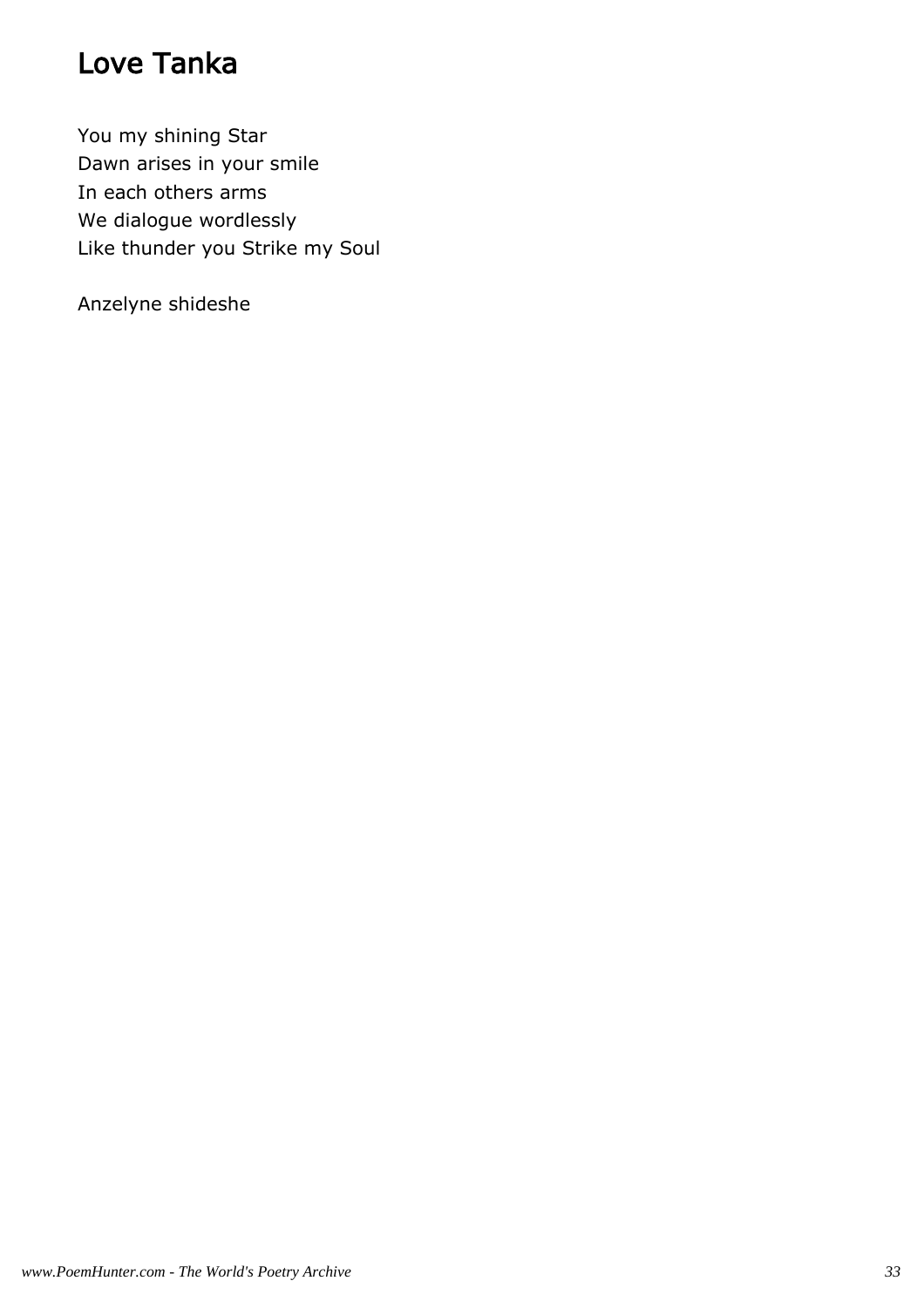## Love Tanka

You my shining Star Dawn arises in your smile In each others arms We dialogue wordlessly Like thunder you Strike my Soul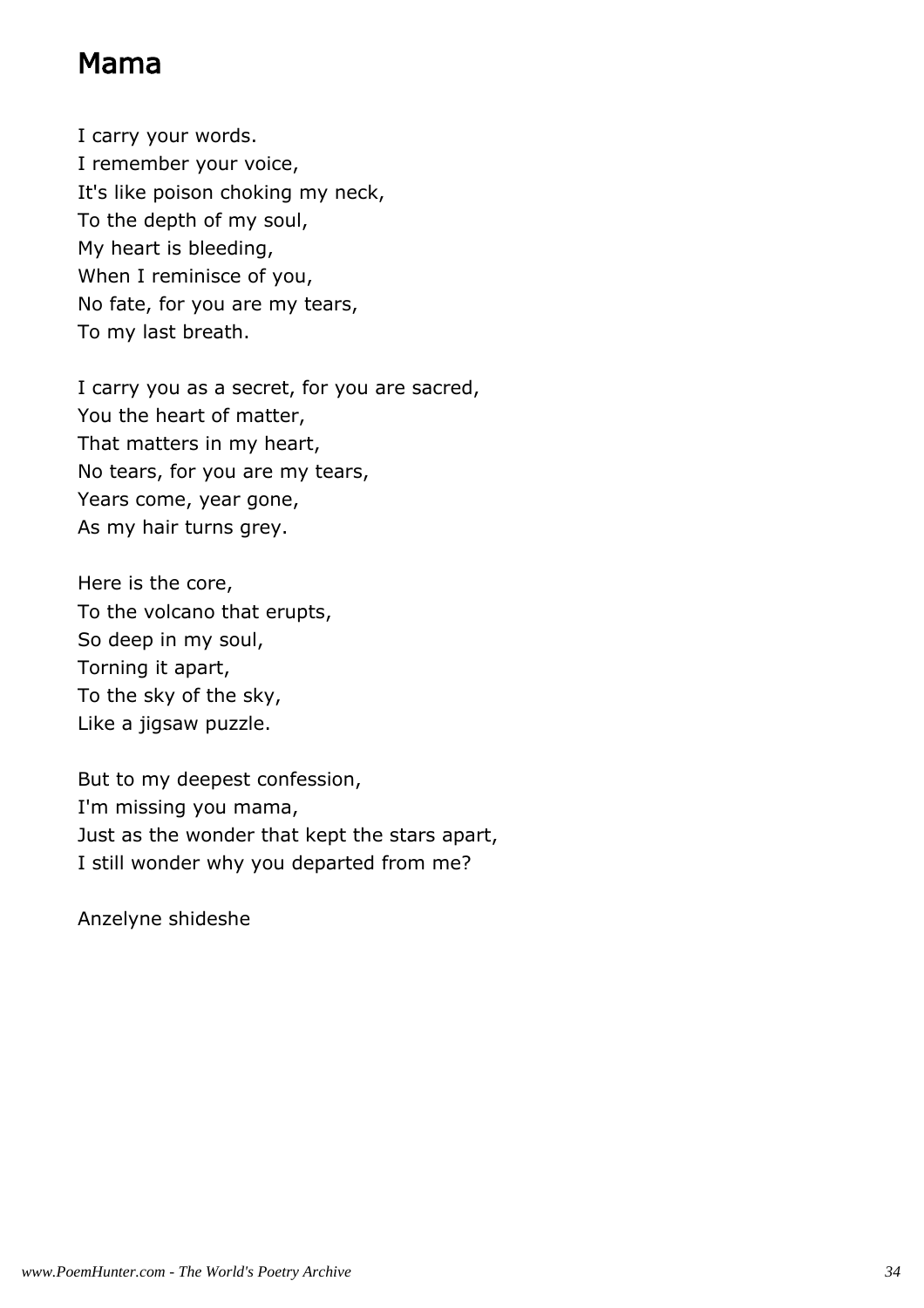#### Mama

I carry your words. I remember your voice, It's like poison choking my neck, To the depth of my soul, My heart is bleeding, When I reminisce of you, No fate, for you are my tears, To my last breath.

I carry you as a secret, for you are sacred, You the heart of matter, That matters in my heart, No tears, for you are my tears, Years come, year gone, As my hair turns grey.

Here is the core, To the volcano that erupts, So deep in my soul, Torning it apart, To the sky of the sky, Like a jigsaw puzzle.

But to my deepest confession, I'm missing you mama, Just as the wonder that kept the stars apart, I still wonder why you departed from me?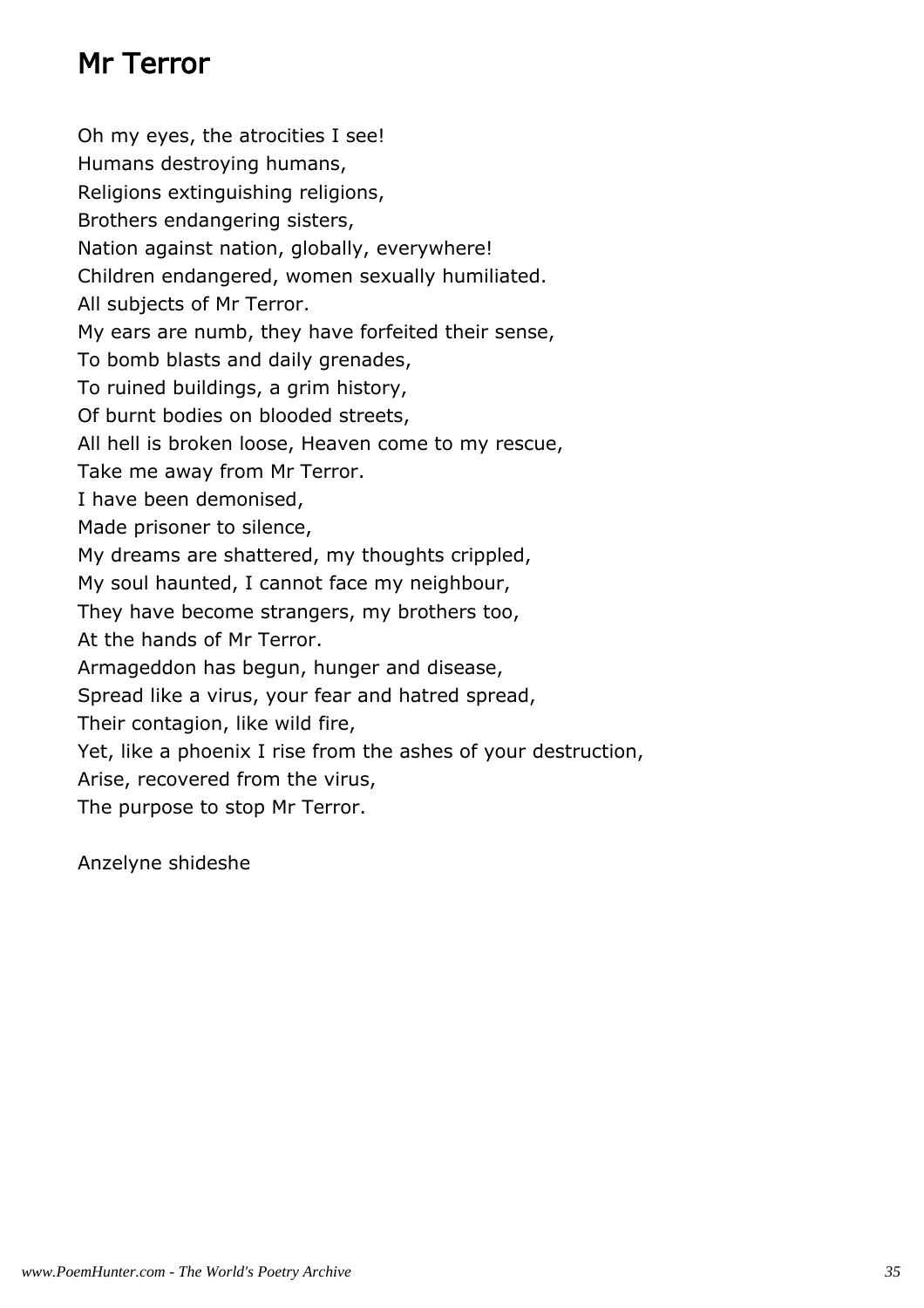#### Mr Terror

Oh my eyes, the atrocities I see! Humans destroying humans, Religions extinguishing religions, Brothers endangering sisters, Nation against nation, globally, everywhere! Children endangered, women sexually humiliated. All subjects of Mr Terror. My ears are numb, they have forfeited their sense, To bomb blasts and daily grenades, To ruined buildings, a grim history, Of burnt bodies on blooded streets, All hell is broken loose, Heaven come to my rescue, Take me away from Mr Terror. I have been demonised, Made prisoner to silence, My dreams are shattered, my thoughts crippled, My soul haunted, I cannot face my neighbour, They have become strangers, my brothers too, At the hands of Mr Terror. Armageddon has begun, hunger and disease, Spread like a virus, your fear and hatred spread, Their contagion, like wild fire, Yet, like a phoenix I rise from the ashes of your destruction, Arise, recovered from the virus, The purpose to stop Mr Terror.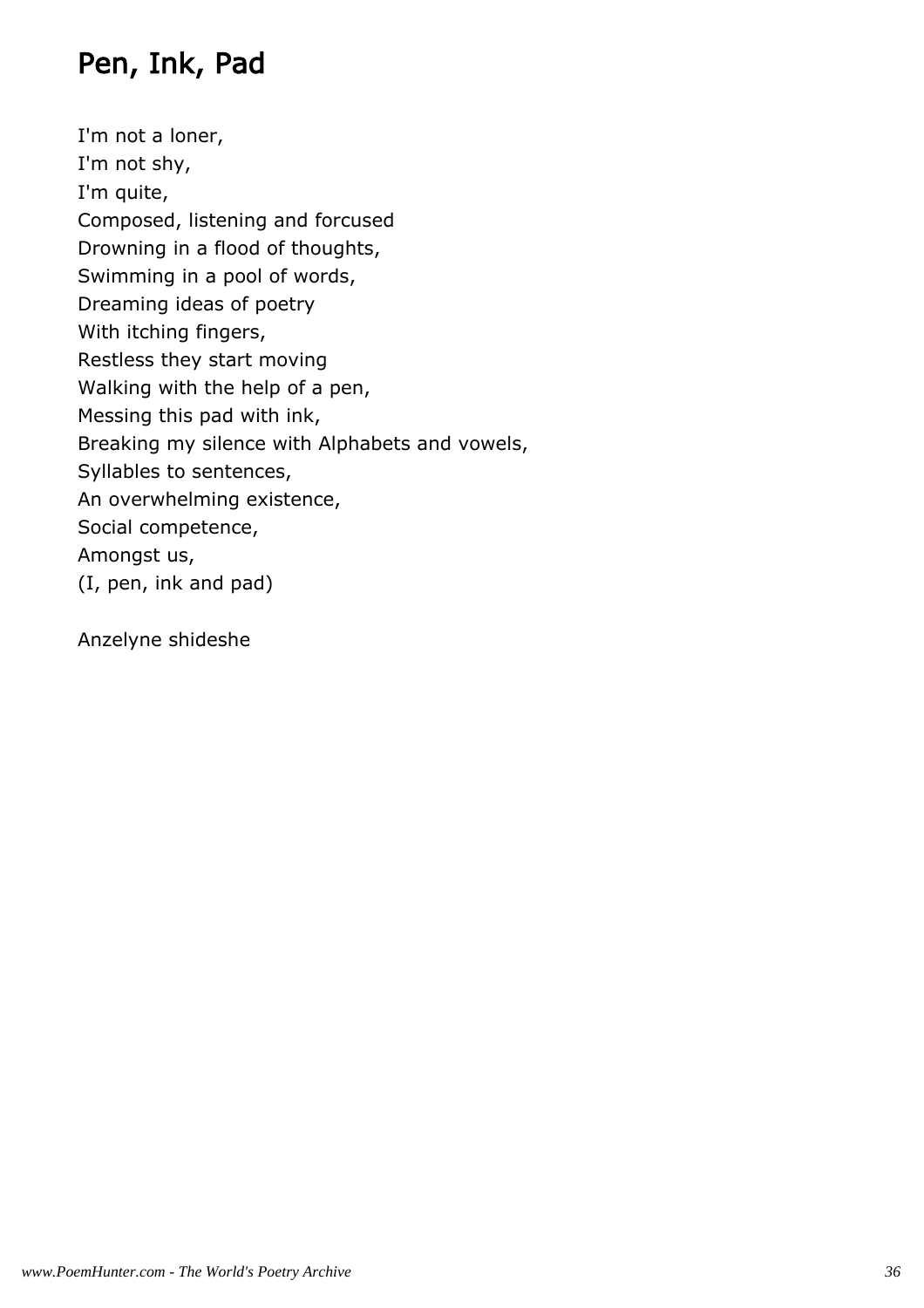#### Pen, Ink, Pad

I'm not a loner, I'm not shy, I'm quite, Composed, listening and forcused Drowning in a flood of thoughts, Swimming in a pool of words, Dreaming ideas of poetry With itching fingers, Restless they start moving Walking with the help of a pen, Messing this pad with ink, Breaking my silence with Alphabets and vowels, Syllables to sentences, An overwhelming existence, Social competence, Amongst us, (I, pen, ink and pad)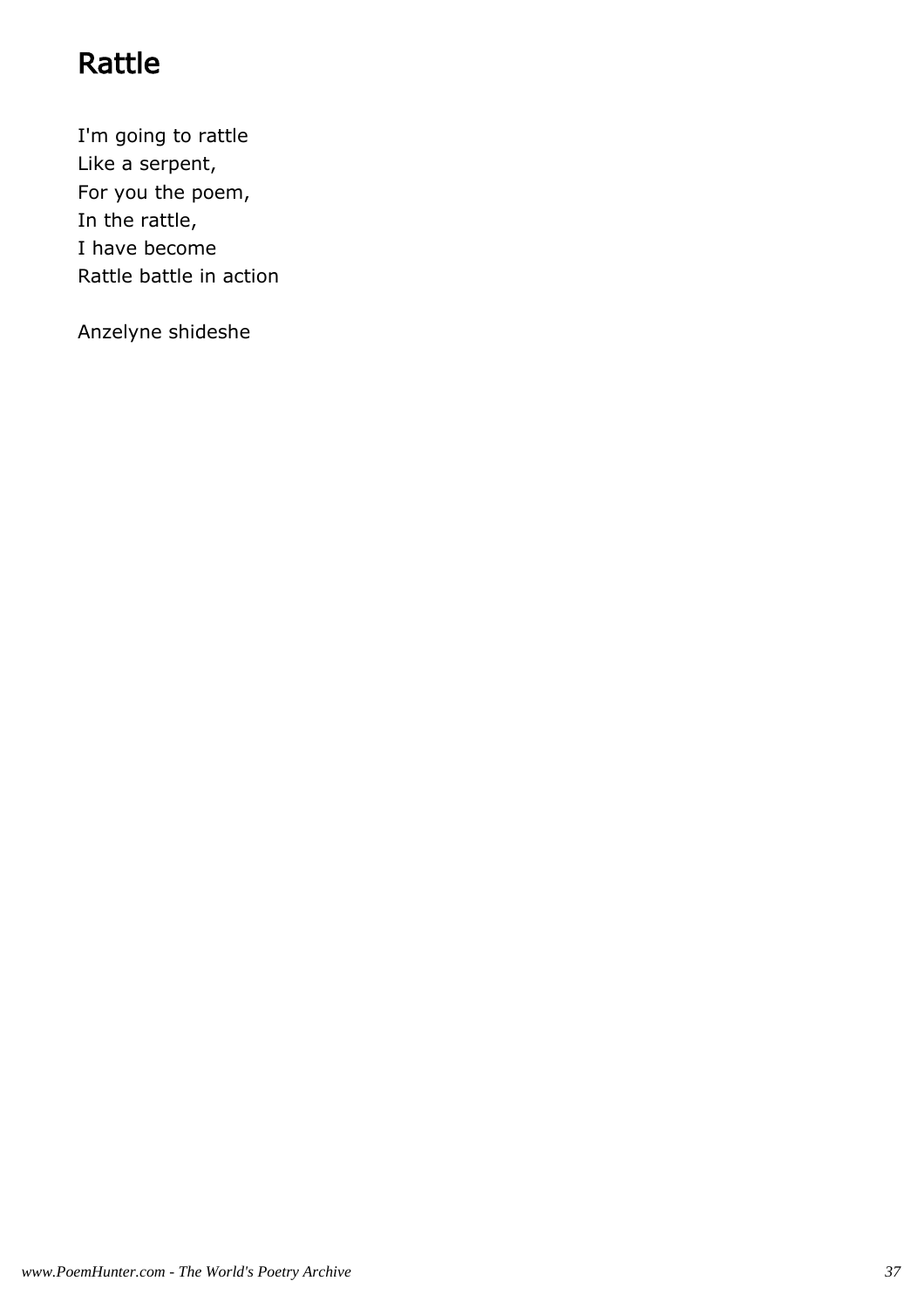## Rattle

I'm going to rattle Like a serpent, For you the poem, In the rattle, I have become Rattle battle in action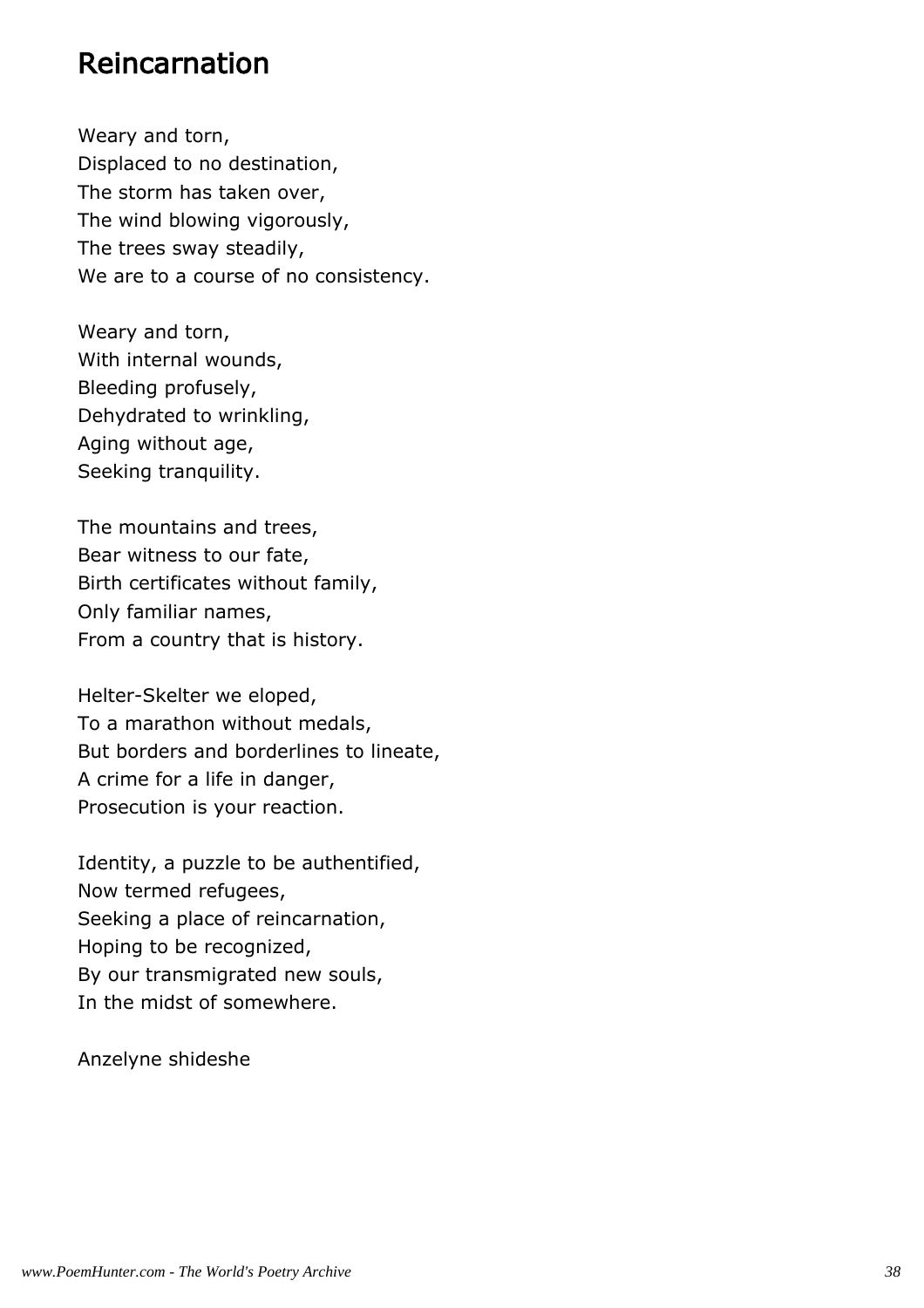#### Reincarnation

Weary and torn, Displaced to no destination, The storm has taken over, The wind blowing vigorously, The trees sway steadily, We are to a course of no consistency.

Weary and torn, With internal wounds, Bleeding profusely, Dehydrated to wrinkling, Aging without age, Seeking tranquility.

The mountains and trees, Bear witness to our fate, Birth certificates without family, Only familiar names, From a country that is history.

Helter-Skelter we eloped, To a marathon without medals, But borders and borderlines to lineate, A crime for a life in danger, Prosecution is your reaction.

Identity, a puzzle to be authentified, Now termed refugees, Seeking a place of reincarnation, Hoping to be recognized, By our transmigrated new souls, In the midst of somewhere.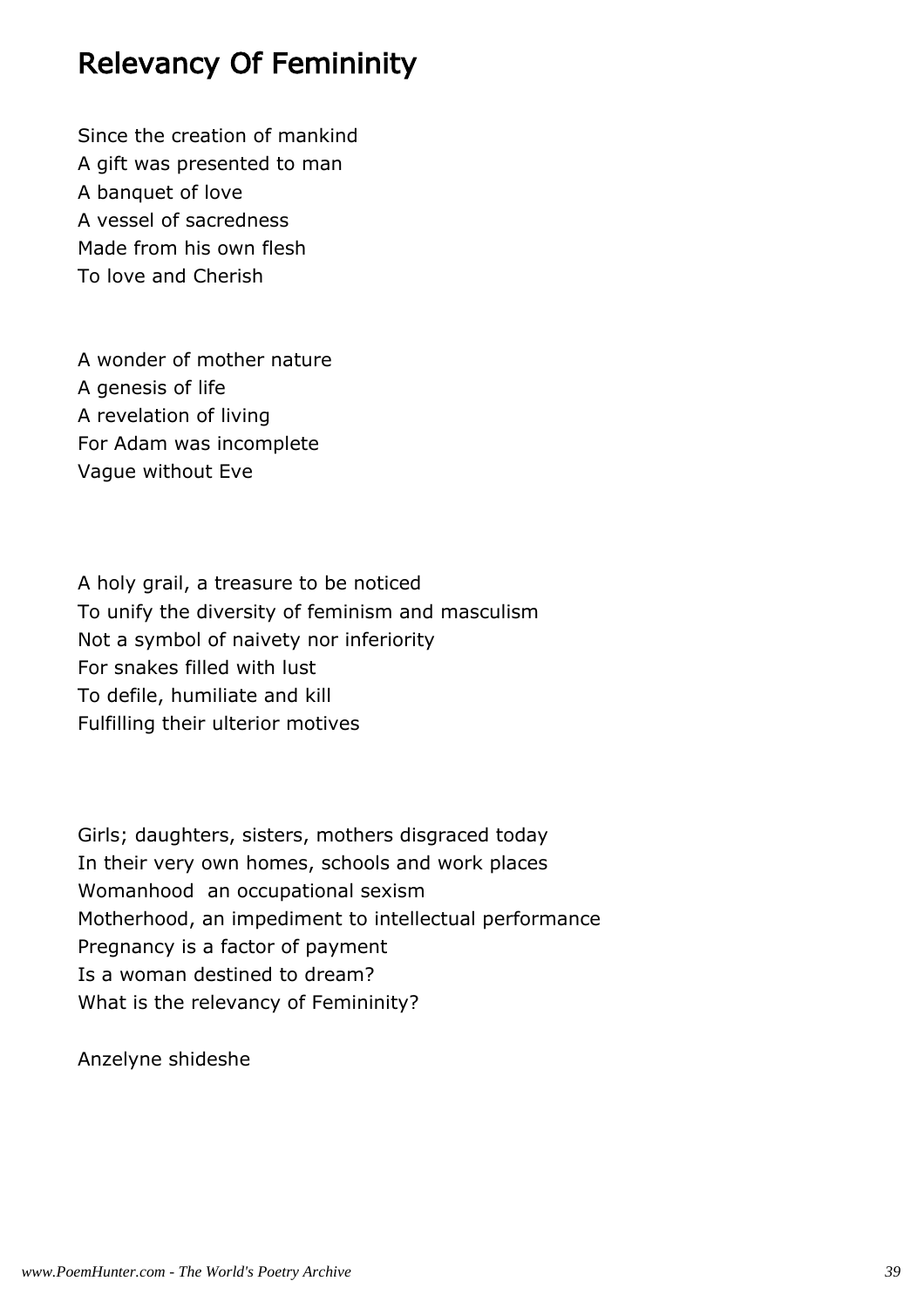#### Relevancy Of Femininity

Since the creation of mankind A gift was presented to man A banquet of love A vessel of sacredness Made from his own flesh To love and Cherish

A wonder of mother nature A genesis of life A revelation of living For Adam was incomplete Vague without Eve

A holy grail, a treasure to be noticed To unify the diversity of feminism and masculism Not a symbol of naivety nor inferiority For snakes filled with lust To defile, humiliate and kill Fulfilling their ulterior motives

Girls; daughters, sisters, mothers disgraced today In their very own homes, schools and work places Womanhood an occupational sexism Motherhood, an impediment to intellectual performance Pregnancy is a factor of payment Is a woman destined to dream? What is the relevancy of Femininity?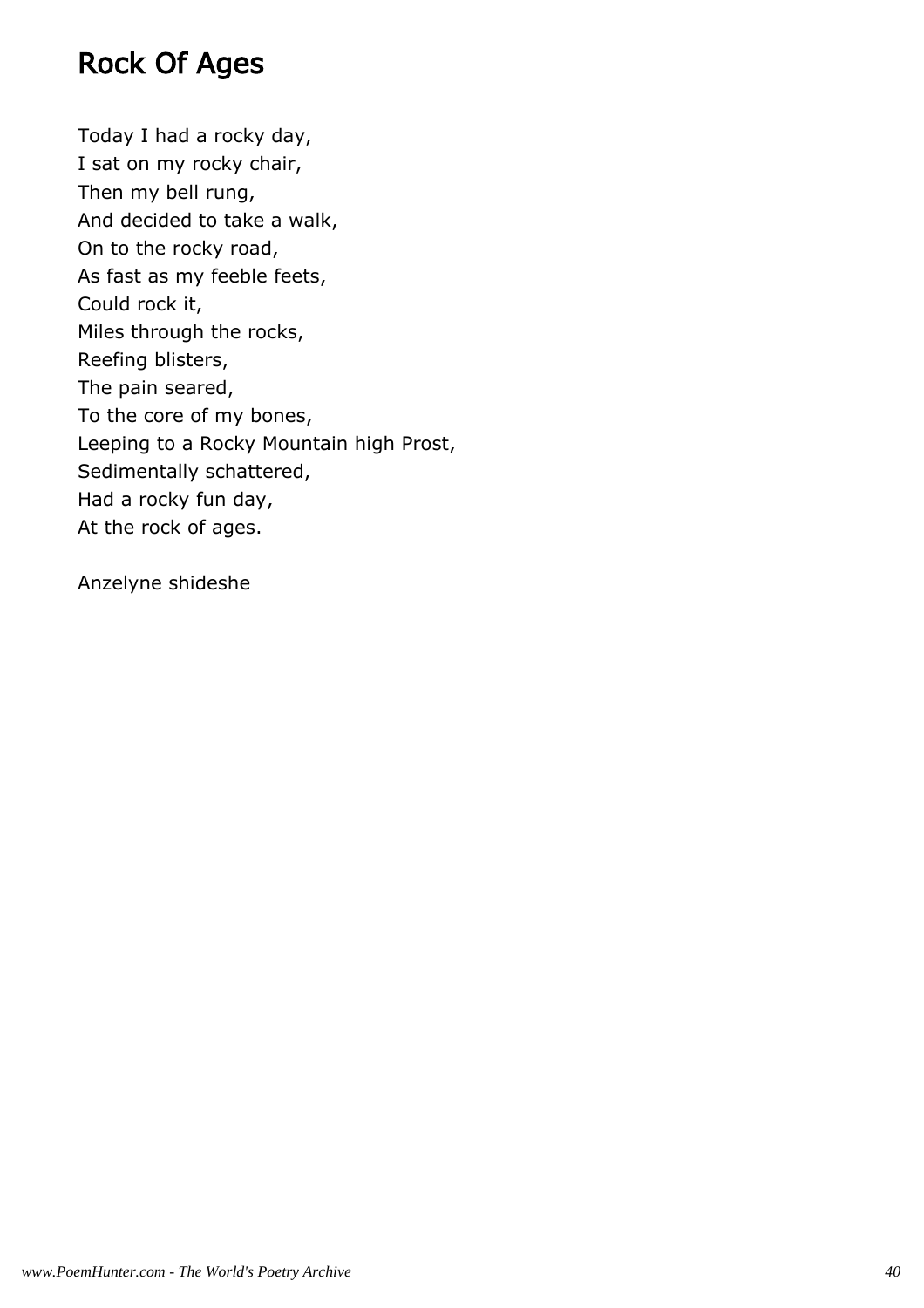#### Rock Of Ages

Today I had a rocky day, I sat on my rocky chair, Then my bell rung, And decided to take a walk, On to the rocky road, As fast as my feeble feets, Could rock it, Miles through the rocks, Reefing blisters, The pain seared, To the core of my bones, Leeping to a Rocky Mountain high Prost, Sedimentally schattered, Had a rocky fun day, At the rock of ages.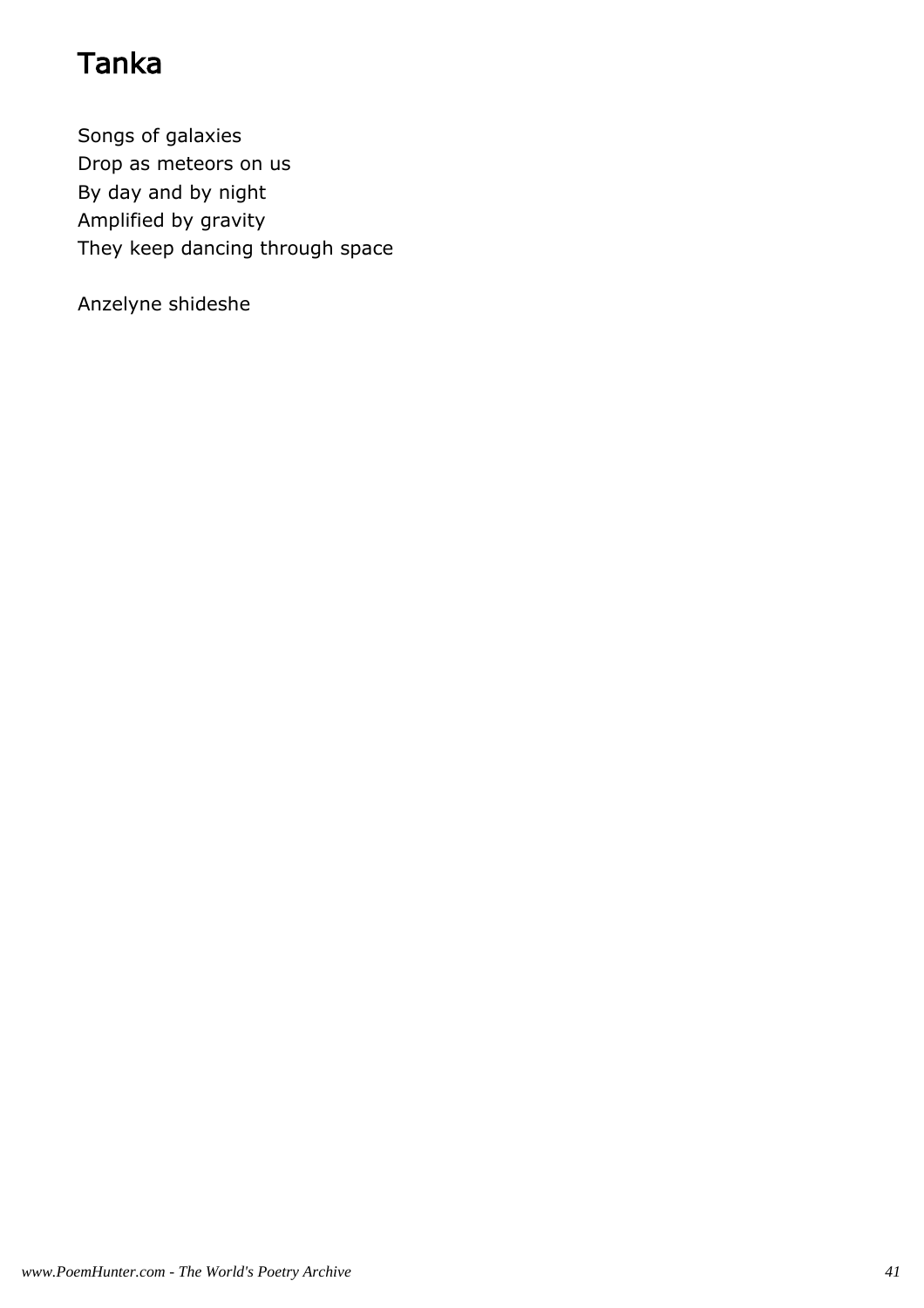# Tanka

Songs of galaxies Drop as meteors on us By day and by night Amplified by gravity They keep dancing through space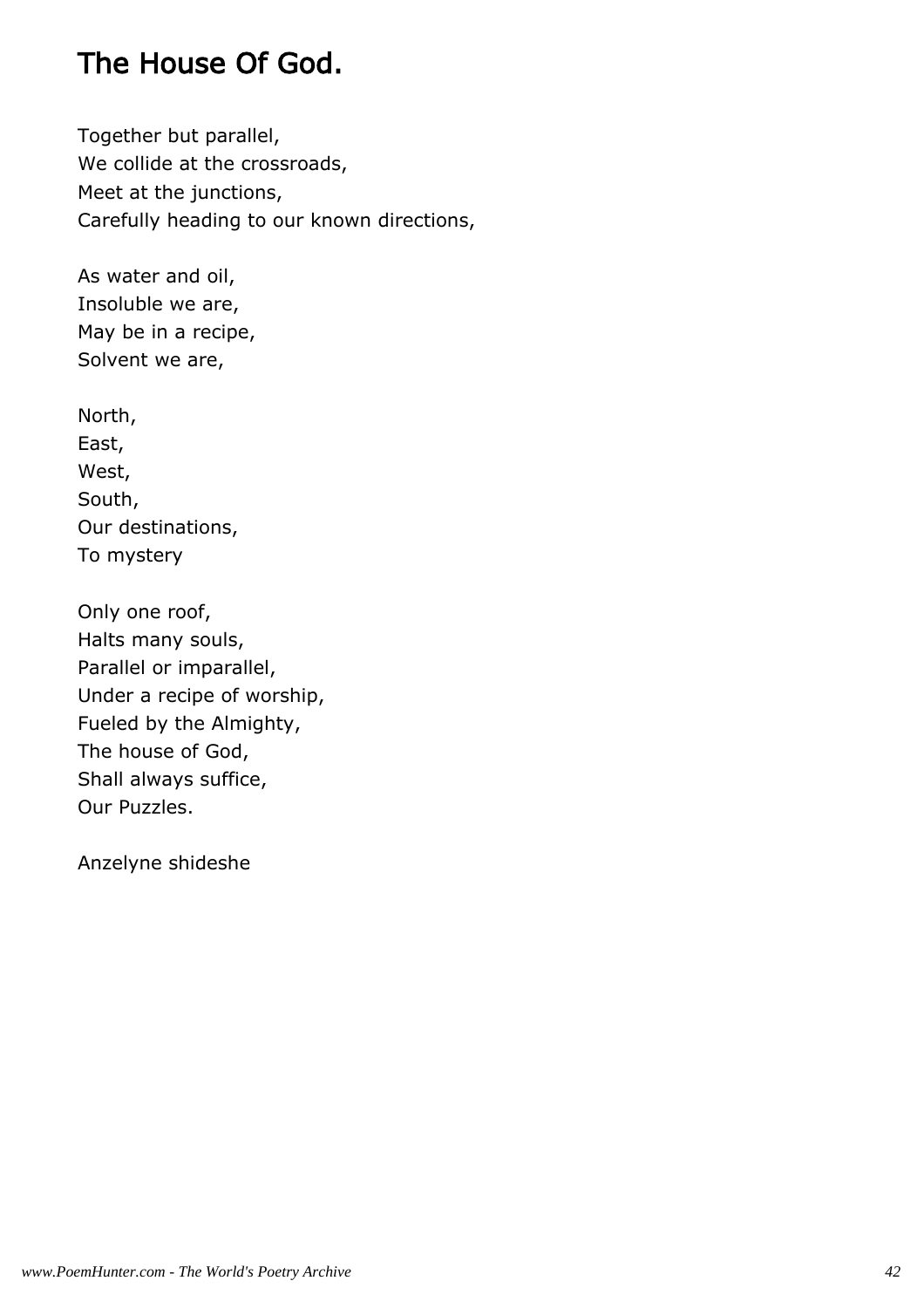## The House Of God.

Together but parallel, We collide at the crossroads, Meet at the junctions, Carefully heading to our known directions,

As water and oil, Insoluble we are, May be in a recipe, Solvent we are,

North, East, West, South, Our destinations, To mystery

Only one roof, Halts many souls, Parallel or imparallel, Under a recipe of worship, Fueled by the Almighty, The house of God, Shall always suffice, Our Puzzles.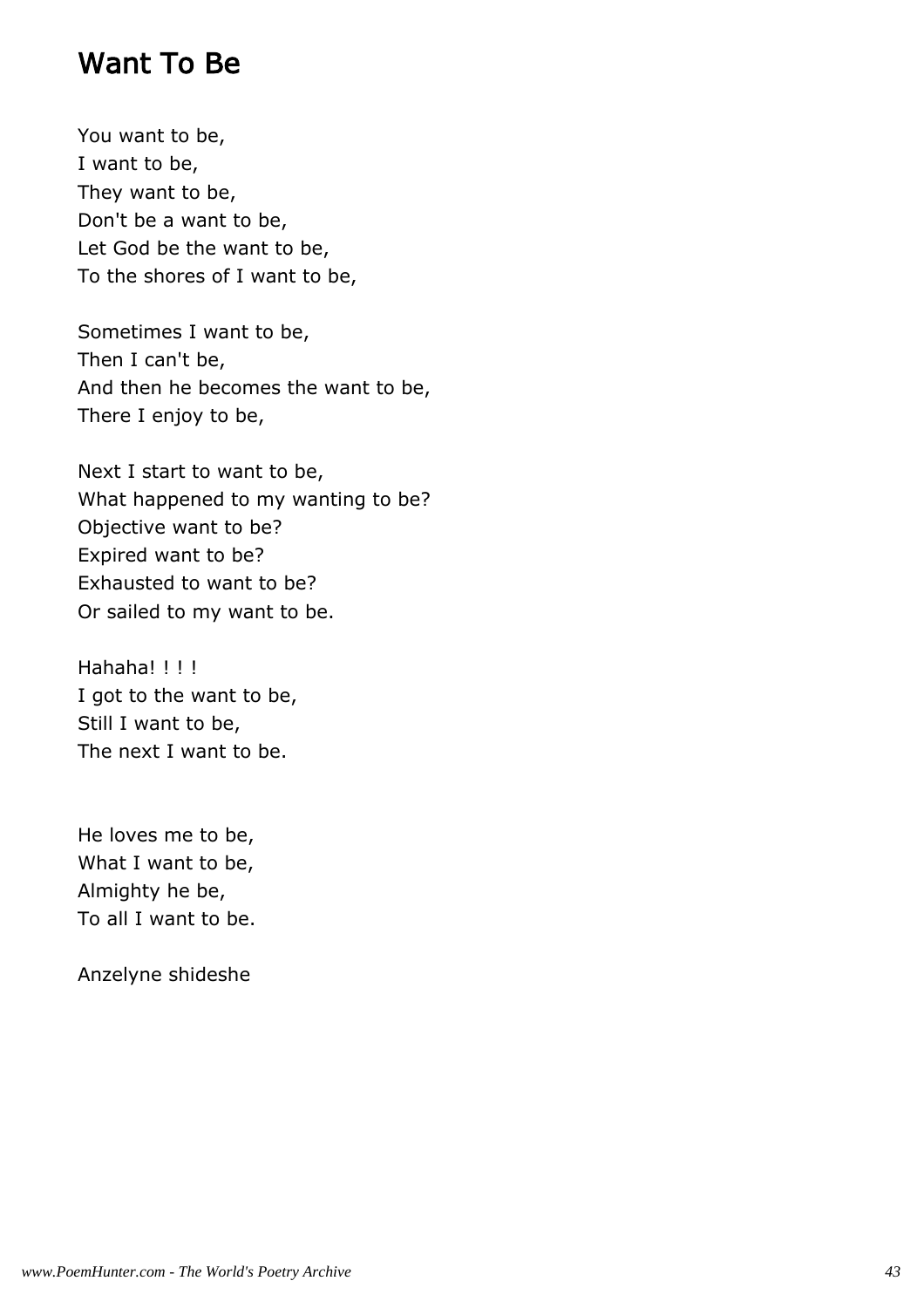#### Want To Be

You want to be, I want to be, They want to be, Don't be a want to be, Let God be the want to be, To the shores of I want to be,

Sometimes I want to be, Then I can't be, And then he becomes the want to be, There I enjoy to be,

Next I start to want to be, What happened to my wanting to be? Objective want to be? Expired want to be? Exhausted to want to be? Or sailed to my want to be.

Hahaha!!!! I got to the want to be, Still I want to be, The next I want to be.

He loves me to be, What I want to be, Almighty he be, To all I want to be.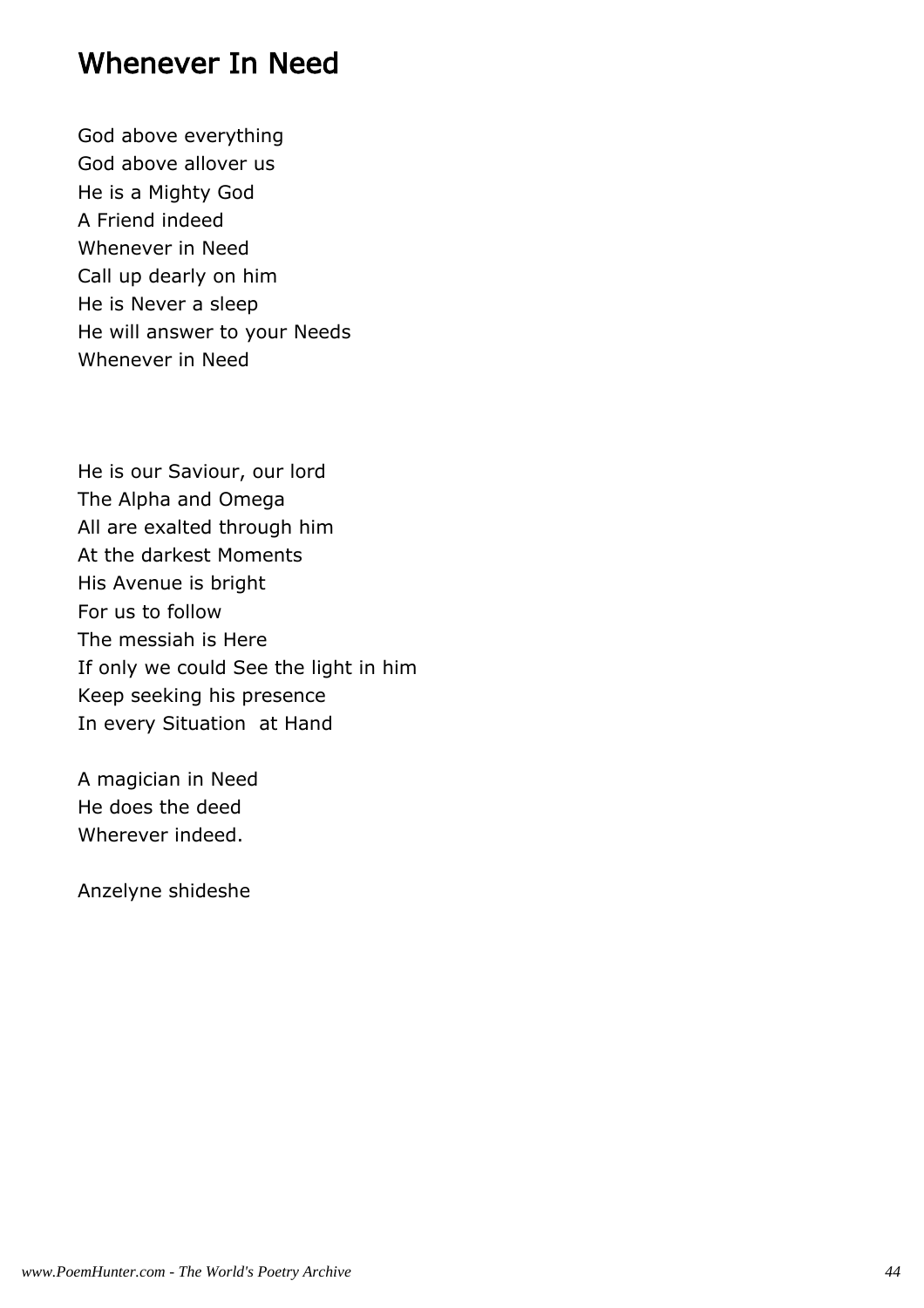#### Whenever In Need

God above everything God above allover us He is a Mighty God A Friend indeed Whenever in Need Call up dearly on him He is Never a sleep He will answer to your Needs Whenever in Need

He is our Saviour, our lord The Alpha and Omega All are exalted through him At the darkest Moments His Avenue is bright For us to follow The messiah is Here If only we could See the light in him Keep seeking his presence In every Situation at Hand

A magician in Need He does the deed Wherever indeed.